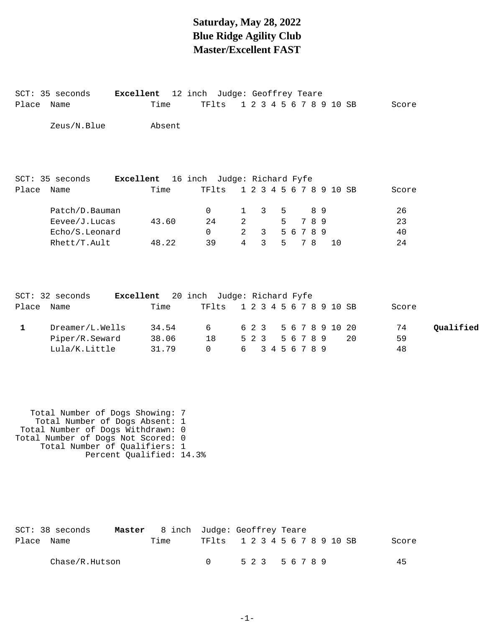### **Saturday, May 28, 2022 Blue Ridge Agility Club Master/Excellent FAST**

Place Name Time TFlts 1 2 3 4 5 6 7 8 9 10 SB Score

SCT: 35 seconds **Excellent** 12 inch Judge: Geoffrey Teare

| Place Name  | SCT: 35 seconds<br>Excellent                                                                                                                                                                              | Time           | 16 inch Judge: Richard Fyfe<br>TFlts       |                |       |                |   |           |     |    | 1 2 3 4 5 6 7 8 9 10 SB |    | Score       |           |
|-------------|-----------------------------------------------------------------------------------------------------------------------------------------------------------------------------------------------------------|----------------|--------------------------------------------|----------------|-------|----------------|---|-----------|-----|----|-------------------------|----|-------------|-----------|
|             | Patch/D.Bauman                                                                                                                                                                                            |                | $\mathsf{O}$                               | $\mathbf 1$    |       | 3              | 5 |           | 8 9 |    |                         |    | 26          |           |
|             | Eevee/J.Lucas                                                                                                                                                                                             | 43.60          | 24                                         | $\overline{a}$ |       |                | 5 | 7 8 9     |     |    |                         |    | 23          |           |
|             | Echo/S.Leonard                                                                                                                                                                                            |                | $\Omega$                                   | $\overline{a}$ |       | 3 <sup>7</sup> |   | 5 6 7 8 9 |     |    |                         |    | 40          |           |
|             | Rhett/T.Ault                                                                                                                                                                                              | 48.22          | 39                                         | $\overline{4}$ |       | $\mathbf{3}$   | 5 | 7 8       |     | 10 |                         |    | 24          |           |
|             | SCT: 32 seconds<br>Excellent                                                                                                                                                                              |                | 20 inch Judge: Richard Fyfe                |                |       |                |   |           |     |    |                         |    |             |           |
| Place Name  |                                                                                                                                                                                                           | Time           | TFlts                                      |                |       |                |   |           |     |    | 1 2 3 4 5 6 7 8 9 10 SB |    | Score       |           |
| $\mathbf 1$ | Dreamer/L.Wells                                                                                                                                                                                           | 34.54          | 6                                          |                | 6 2 3 |                |   |           |     |    | 5 6 7 8 9 10 20         |    | 74          | Qualified |
|             | Piper/R.Seward<br>Lula/K.Little                                                                                                                                                                           | 38.06<br>31.79 | 18<br>$\mathbf 0$                          | 6              | 523   | 3 4 5 6 7 8 9  |   | 5 6 7 8 9 |     |    |                         | 20 | 59<br>48    |           |
|             | Total Number of Dogs Showing: 7<br>Total Number of Dogs Absent: 1<br>Total Number of Dogs Withdrawn: 0<br>Total Number of Dogs Not Scored: 0<br>Total Number of Qualifiers: 1<br>Percent Qualified: 14.3% |                |                                            |                |       |                |   |           |     |    |                         |    |             |           |
| Place Name  | $SCT: 38$ seconds<br>Master<br>Chase/R.Hutson                                                                                                                                                             | Time           | 8 inch Judge: Geoffrey Teare<br>TFlts<br>0 |                | 5 2 3 |                |   | 5 6 7 8 9 |     |    | 1 2 3 4 5 6 7 8 9 10 SB |    | Score<br>45 |           |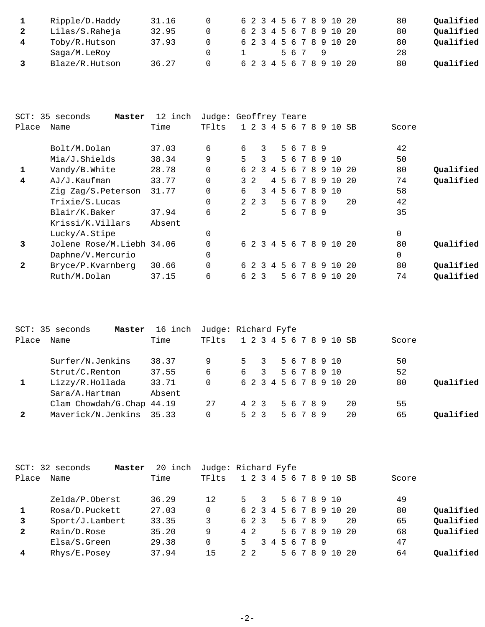| Ripple/D.Haddy | 31.16 |  |  |  |  |     |  |                         | 6 2 3 4 5 6 7 8 9 10 20 | Qualified<br>80 |
|----------------|-------|--|--|--|--|-----|--|-------------------------|-------------------------|-----------------|
| Lilas/S.Raheja | 32.95 |  |  |  |  |     |  | 6 2 3 4 5 6 7 8 9 10 20 |                         | Qualified<br>80 |
| Toby/R.Hutson  | 37.93 |  |  |  |  |     |  | 6 2 3 4 5 6 7 8 9 10 20 |                         | Qualified<br>80 |
| Saga/M.LeRoy   |       |  |  |  |  | 567 |  |                         |                         | 28              |
| Blaze/R.Hutson | 36.27 |  |  |  |  |     |  | 6 2 3 4 5 6 7 8 9 10 20 |                         | Qualified<br>80 |

| SCT:  | 35 seconds<br>Master      | 12 inch | Judge: Geoffrey Teare |    |     |               |                |    |    |   |   |           |   |                         |     |       |           |
|-------|---------------------------|---------|-----------------------|----|-----|---------------|----------------|----|----|---|---|-----------|---|-------------------------|-----|-------|-----------|
| Place | Name                      | Time    | TFlts                 |    |     | $1\;\;2\;\;3$ | 4              |    | 56 |   | 7 | 8         | 9 | 10                      | SB  | Score |           |
|       | Bolt/M.Dolan              | 37.03   | 6                     | 6  |     | 3             |                |    |    |   |   | 5 6 7 8 9 |   |                         |     | 42    |           |
|       | Mia/J.Shields             | 38.34   | 9                     | 5  |     | $\mathcal{L}$ |                |    | 56 |   | 7 |           |   | 8910                    |     | 50    |           |
| 1     | Vandy/B.White             | 28.78   | $\Omega$              |    | 6 2 | $\mathcal{R}$ | $\overline{4}$ |    | 56 |   |   |           |   | 7 8 9 10 20             |     | 80    | Qualified |
| 4     | AJ/J.Kaufman              | 33.77   | $\Omega$              |    | 32  |               | 4              | -5 |    |   |   |           |   | 6 7 8 9 10 20           |     | 74    | Qualified |
|       | Zig Zag/S.Peterson        | 31.77   | $\Omega$              | б. |     | 3             | 4              |    | 5  | 6 | 7 | 8         |   | 9 10                    |     | 58    |           |
|       | Trixie/S.Lucas            |         | $\Omega$              |    |     | 2 2 3         |                |    |    |   |   | 5 6 7 8 9 |   |                         | 20  | 42    |           |
|       | Blair/K.Baker             | 37.94   | 6                     | 2  |     |               |                |    |    |   |   | 5 6 7 8 9 |   |                         |     | 35    |           |
|       | Krissi/K.Villars          | Absent  |                       |    |     |               |                |    |    |   |   |           |   |                         |     |       |           |
|       | Lucky/A.Stipe             |         | 0                     |    |     |               |                |    |    |   |   |           |   |                         |     | 0     |           |
| 3     | Jolene Rose/M.Liebh 34.06 |         | $\Omega$              |    |     |               |                |    |    |   |   |           |   | 6 2 3 4 5 6 7 8 9 10 20 |     | 80    | Qualified |
|       | Daphne/V.Mercurio         |         | 0                     |    |     |               |                |    |    |   |   |           |   |                         |     | 0     |           |
| 2     | Bryce/P.Kvarnberg         | 30.66   | $\Omega$              |    | 62  | $\mathcal{R}$ | 4              |    | 56 |   | 7 | -8        |   | 910                     | -20 | 80    | Qualified |
|       | Ruth/M.Dolan              | 37.15   | 6                     | б. |     | 2 3           |                |    | 56 |   | 7 | 8         | 9 | 10 <sup>°</sup>         | 20  | 74    | Qualified |

| Oualified |
|-----------|
|           |
|           |
| Oualified |
|           |

|              | SCT: 32 seconds<br>Master | 20 inch | Judge: Richard Fyfe |    |            |               |               |  |           |  |                         |    |       |           |
|--------------|---------------------------|---------|---------------------|----|------------|---------------|---------------|--|-----------|--|-------------------------|----|-------|-----------|
| Place        | Name                      | Time    | TFlts               |    |            |               |               |  |           |  | 1 2 3 4 5 6 7 8 9 10 SB |    | Score |           |
|              | Zelda/P.Oberst            | 36.29   | 12                  | 5. |            | $\mathcal{L}$ |               |  |           |  | 5 6 7 8 9 10            |    | 49    |           |
|              | Rosa/D.Puckett            | 27.03   |                     |    |            |               |               |  |           |  | 6 2 3 4 5 6 7 8 9 10 20 |    | 80    | Qualified |
| $\mathbf{3}$ | Sport/J.Lambert           | 33.35   | 3                   |    | 6 2 3      |               |               |  | 5 6 7 8 9 |  |                         | 20 | 65    | Qualified |
| $\mathbf{2}$ | Rain/D.Rose               | 35.20   | 9                   |    | 4 2        |               |               |  |           |  | 5 6 7 8 9 10 20         |    | 68    | Qualified |
|              | Elsa/S.Green              | 29.38   |                     | 5. |            |               | 3 4 5 6 7 8 9 |  |           |  |                         |    | 47    |           |
| 4            | Rhys/E.Posey              | 37.94   | 15                  |    | $2\quad 2$ |               |               |  | 5 6 7 8 9 |  | 10 20                   |    | 64    | Oualified |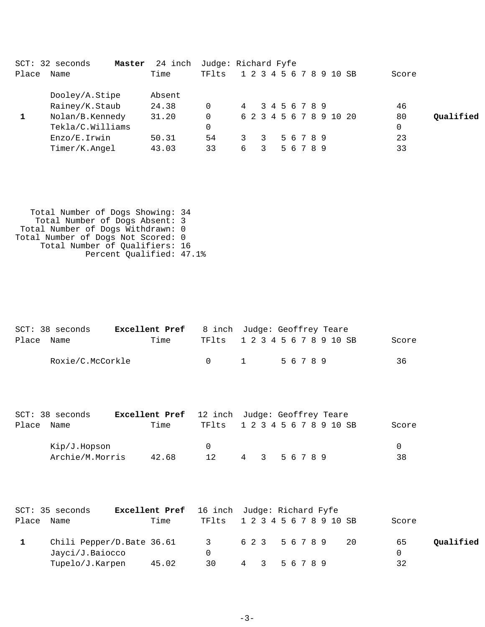|                  | 24 inch           |        |   |   |  |                     |  |                                         |                                                    |           |
|------------------|-------------------|--------|---|---|--|---------------------|--|-----------------------------------------|----------------------------------------------------|-----------|
| Name             | Time              | TFlts  |   |   |  |                     |  |                                         | Score                                              |           |
| Dooley/A.Stipe   | Absent            |        |   |   |  |                     |  |                                         |                                                    |           |
| Rainey/K.Staub   | 24.38             |        | 4 |   |  |                     |  |                                         | 46                                                 |           |
| Nolan/B.Kennedy  | 31.20             |        |   |   |  |                     |  |                                         | 80                                                 | Oualified |
| Tekla/C.Williams |                   |        |   |   |  |                     |  |                                         | 0                                                  |           |
| Enzo/E.Irwin     | 50.31             | 54     |   | 3 |  |                     |  |                                         | 23                                                 |           |
| Timer/K.Angel    | 43.03             | 33     | 6 | 3 |  |                     |  |                                         | 33                                                 |           |
|                  | $SCT: 32$ seconds | Master |   |   |  | Judge: Richard Fyfe |  | 3 4 5 6 7 8 9<br>5 6 7 8 9<br>5 6 7 8 9 | 1 2 3 4 5 6 7 8 9 10 SB<br>6 2 3 4 5 6 7 8 9 10 20 |           |

 Total Number of Dogs Showing: 34 Total Number of Dogs Absent: 3 Total Number of Dogs Withdrawn: 0 Total Number of Dogs Not Scored: 0 Total Number of Qualifiers: 16 Percent Qualified: 47.1%

|            | SCT: 38 seconds  | <b>Excellent Pref</b> 8 inch Judge: Geoffrey Teare |                               |          |       |  |  |  |       |
|------------|------------------|----------------------------------------------------|-------------------------------|----------|-------|--|--|--|-------|
| Place Name |                  | Time                                               | TF1ts 1 2 3 4 5 6 7 8 9 10 SB |          |       |  |  |  | Score |
|            | Roxie/C.McCorkle |                                                    | $\bigcap$                     | $\sim$ 1 | 56789 |  |  |  | 36    |
|            |                  |                                                    |                               |          |       |  |  |  |       |

|            | SCT: 38 seconds | <b>Excellent Pref</b> 12 inch Judge: Geoffrey Teare |                               |               |  |  |  |       |
|------------|-----------------|-----------------------------------------------------|-------------------------------|---------------|--|--|--|-------|
| Place Name |                 | Time                                                | TF1ts 1 2 3 4 5 6 7 8 9 10 SB |               |  |  |  | Score |
|            | Kip/J.Hopson    |                                                     | $\Omega$                      |               |  |  |  |       |
|            | Archie/M.Morris | 42.68                                               |                               | 4 3 5 6 7 8 9 |  |  |  | 38    |

|            | SCT: 35 seconds           | Excellent Pref 16 inch Judge: Richard Fyfe |                               |               |  |  |  |  |          |           |
|------------|---------------------------|--------------------------------------------|-------------------------------|---------------|--|--|--|--|----------|-----------|
| Place Name |                           | Time                                       | TF1ts 1 2 3 4 5 6 7 8 9 10 SB |               |  |  |  |  | Score    |           |
|            | Chili Pepper/D.Bate 36.61 |                                            | 3 623 56789 20                |               |  |  |  |  | 65       | Qualified |
|            | Jayci/J.Baiocco           |                                            |                               |               |  |  |  |  | $\Omega$ |           |
|            | Tupelo/J.Karpen           | 45.02                                      | 30                            | 4 3 5 6 7 8 9 |  |  |  |  | 32       |           |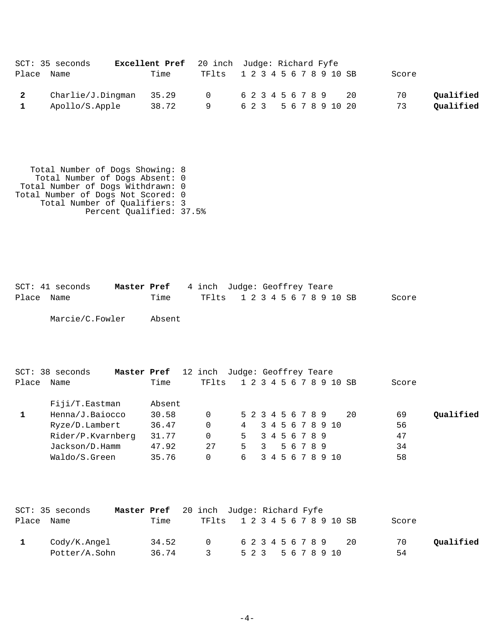|                         | SCT: 35 seconds           | Excellent Pref 20 inch Judge: Richard Fyfe |                               |  |  |  |  |  |  |                       |       |           |
|-------------------------|---------------------------|--------------------------------------------|-------------------------------|--|--|--|--|--|--|-----------------------|-------|-----------|
| Place Name              |                           | Time                                       | TF1ts 1 2 3 4 5 6 7 8 9 10 SB |  |  |  |  |  |  |                       | Score |           |
| $\overline{\mathbf{2}}$ | $Charlie/J.Dingman$ 35.29 |                                            | 0 623456789 20                |  |  |  |  |  |  |                       | 70    | Qualified |
|                         | Apollo/S.Apple            | 38.72                                      |                               |  |  |  |  |  |  | 6 2 3 5 6 7 8 9 10 20 | 73    | Qualified |

 Total Number of Dogs Showing: 8 Total Number of Dogs Absent: 0 Total Number of Dogs Withdrawn: 0 Total Number of Dogs Not Scored: 0 Total Number of Qualifiers: 3 Percent Qualified: 37.5%

SCT: 41 seconds **Master Pref** 4 inch Judge: Geoffrey Teare Place Name Time TFlts 1 2 3 4 5 6 7 8 9 10 SB Score

Marcie/C.Fowler Absent

| $SCT: 38$ seconds | Master Pref | 12 inch Judge: Geoffrey Teare |                         |                         |               |           |  |                  |    |       |           |
|-------------------|-------------|-------------------------------|-------------------------|-------------------------|---------------|-----------|--|------------------|----|-------|-----------|
| Place Name        | Time        | TFlts                         | 1 2 3 4 5 6 7 8 9 10 SB |                         |               |           |  |                  |    | Score |           |
| Fiji/T.Eastman    | Absent      |                               |                         |                         |               |           |  |                  |    |       |           |
| Henna/J.Baiocco   | 30.58       | 0                             | 5 2 3 4 5 6 7 8 9       |                         |               |           |  |                  | 20 | 69    | Oualified |
| Ryze/D.Lambert    | 36.47       | 0                             | 4                       |                         |               |           |  | 3 4 5 6 7 8 9 10 |    | 56    |           |
| Rider/P.Kvarnberg | 31.77       | 0                             | 5                       |                         | 3 4 5 6 7 8 9 |           |  |                  |    | 47    |           |
| Jackson/D.Hamm    | 47.92       | 27                            | 5                       | $\overline{\mathbf{3}}$ |               | 5 6 7 8 9 |  |                  |    | 34    |           |
| Waldo/S.Green     | 35.76       |                               | 6                       |                         |               |           |  | 3 4 5 6 7 8 9 10 |    | 58    |           |

|            | SCT: 35 seconds | <b>Master Pref</b> 20 inch Judge: Richard Fyfe |       |                               |  |  |  |  |                    |                      |       |           |
|------------|-----------------|------------------------------------------------|-------|-------------------------------|--|--|--|--|--------------------|----------------------|-------|-----------|
| Place Name |                 |                                                | Time  | TF1ts 1 2 3 4 5 6 7 8 9 10 SB |  |  |  |  |                    |                      | Score |           |
|            | Cody/K.Angel    |                                                | 34.52 | $\cap$                        |  |  |  |  |                    | 6 2 3 4 5 6 7 8 9 20 | 70    | Oualified |
|            | Potter/A.Sohn   |                                                | 36.74 | $\sim$ 3                      |  |  |  |  | 5 2 3 5 6 7 8 9 10 |                      | 54    |           |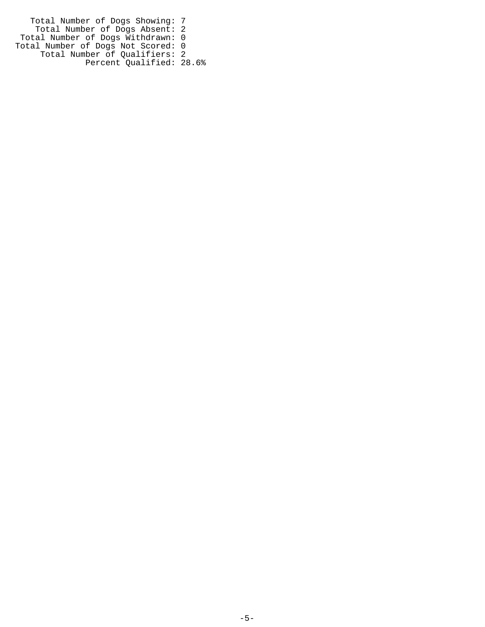Total Number of Dogs Showing: 7 Total Number of Dogs Absent: 2 Total Number of Dogs Withdrawn: 0 Total Number of Dogs Not Scored: 0 Total Number of Qualifiers: 2 Percent Qualified: 28.6%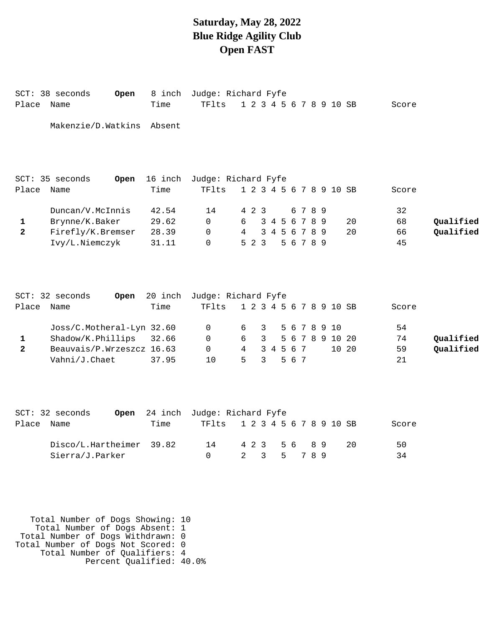### **Saturday, May 28, 2022 Blue Ridge Agility Club Open FAST**

| Place        | SCT: 38 seconds<br>Open<br>Name | 8 inch<br>Time  | Judge: Richard Fyfe<br>TFlts | 1 2 3 4 5 6 7 8 9 10 SB |                |               |           |         |                 |    | Score |           |
|--------------|---------------------------------|-----------------|------------------------------|-------------------------|----------------|---------------|-----------|---------|-----------------|----|-------|-----------|
|              | Makenzie/D.Watkins              | Absent          |                              |                         |                |               |           |         |                 |    |       |           |
| Place        | SCT: 35 seconds<br>Open<br>Name | 16 inch<br>Time | Judge: Richard Fyfe<br>TFlts | 1 2 3 4 5 6 7 8 9 10 SB |                |               |           |         |                 |    | Score |           |
|              |                                 |                 |                              |                         |                |               |           |         |                 |    |       |           |
|              | Duncan/V.McInnis                | 42.54           | 14                           | 4 2 3                   |                |               |           | 6 7 8 9 |                 |    | 32    |           |
| 1            | Brynne/K.Baker                  | 29.62           | 0                            | 6                       |                | 3 4 5 6 7 8 9 |           |         |                 | 20 | 68    | Qualified |
| $\mathbf{2}$ | Firefly/K.Bremser               | 28.39           | $\Omega$                     | 4                       |                | 3 4 5 6 7 8 9 |           |         |                 | 20 | 66    | Qualified |
|              | Ivy/L.Niemczyk                  | 31.11           | $\Omega$                     | 523                     |                |               | 5 6 7 8 9 |         |                 |    | 45    |           |
|              | SCT: 32 seconds<br>Open         | 20 inch         | Judge: Richard Fyfe          |                         |                |               |           |         |                 |    |       |           |
| Place        | Name                            | Time            | TFlts                        | 1 2 3 4 5 6 7 8 9 10 SB |                |               |           |         |                 |    | Score |           |
|              | Joss/C.Motheral-Lyn 32.60       |                 | 0                            | 6                       | 3              |               |           |         | 5 6 7 8 9 10    |    | 54    |           |
| 1            | Shadow/K.Phillips               | 32.66           | 0                            | 6                       | $\mathbf{3}$   |               |           |         | 5 6 7 8 9 10 20 |    | 74    | Qualified |
| $\mathbf{2}$ | Beauvais/P.Wrzeszcz 16.63       |                 | $\Omega$                     | 4                       |                | 3 4 5 6 7     |           |         | 10 20           |    | 59    | Qualified |
|              | Vahni/J.Chaet                   | 37.95           | 10                           | 5                       | $\overline{3}$ |               | 5 6 7     |         |                 |    | 21    |           |
|              | SCT: 32 seconds<br>Open         | 24 inch         | Judge: Richard Fyfe          |                         |                |               |           |         |                 |    |       |           |
| Place        | Name                            | Time            | TFlts                        | 1 2 3 4 5 6 7 8 9 10 SB |                |               |           |         |                 |    | Score |           |

Disco/L.Hartheimer 39.82 14 4 2 3 5 6 8 9 20 50 Sierra/J.Parker 0 2 3 5 7 8 9 34

 Total Number of Dogs Showing: 10 Total Number of Dogs Absent: 1 Total Number of Dogs Withdrawn: 0 Total Number of Dogs Not Scored: 0 Total Number of Qualifiers: 4 Percent Qualified: 40.0%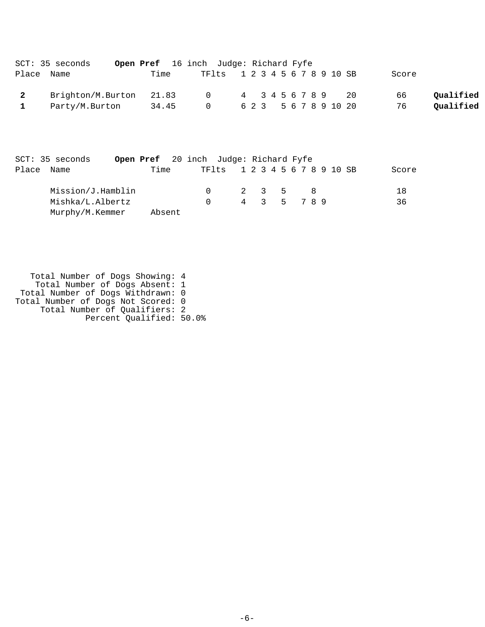|                | SCT: 35 seconds         | Open Pref 16 inch Judge: Richard Fyfe |                               |  |  |  |  |                       |       |           |
|----------------|-------------------------|---------------------------------------|-------------------------------|--|--|--|--|-----------------------|-------|-----------|
|                | Place Name              | Time                                  | TF1ts 1 2 3 4 5 6 7 8 9 10 SB |  |  |  |  |                       | Score |           |
| $\overline{2}$ | Brighton/M.Burton 21.83 |                                       | 0 4 3 4 5 6 7 8 9 20          |  |  |  |  |                       | 66    | Oualified |
| $\mathbf{1}$   | Party/M.Burton          | 34.45                                 | $\Omega$                      |  |  |  |  | 6 2 3 5 6 7 8 9 10 20 | 76    | Qualified |

| SCT: 35 seconds   | Open Pref 20 inch Judge: Richard Fyfe |        |                               |             |  |  |       |
|-------------------|---------------------------------------|--------|-------------------------------|-------------|--|--|-------|
| Place Name        | Time                                  |        | TF1ts 1 2 3 4 5 6 7 8 9 10 SB |             |  |  | Score |
| Mission/J.Hamblin |                                       |        | 2 3 5 8                       |             |  |  | 18    |
| Mishka/L.Albertz  |                                       | $\cap$ |                               | 4 3 5 7 8 9 |  |  | 36    |
| Murphy/M.Kemmer   | Absent                                |        |                               |             |  |  |       |

 Total Number of Dogs Showing: 4 Total Number of Dogs Absent: 1 Total Number of Dogs Withdrawn: 0 Total Number of Dogs Not Scored: 0 Total Number of Qualifiers: 2 Percent Qualified: 50.0%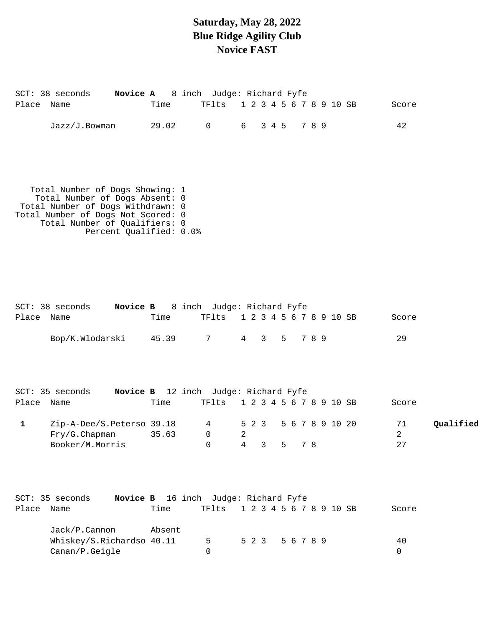## **Saturday, May 28, 2022 Blue Ridge Agility Club Novice FAST**

| Place Name   | SCT: 38 seconds Novice A 8 inch Judge: Richard Fyfe                                                                                                                                                      | Time                | TF1ts 1 2 3 4 5 6 7 8 9 10 SB                |               |                 |                          |  |  | Score         |           |
|--------------|----------------------------------------------------------------------------------------------------------------------------------------------------------------------------------------------------------|---------------------|----------------------------------------------|---------------|-----------------|--------------------------|--|--|---------------|-----------|
|              | Jazz/J.Bowman                                                                                                                                                                                            | 29.02               | $\overline{0}$                               | 6 3 4 5 7 8 9 |                 |                          |  |  | 42            |           |
|              | Total Number of Dogs Showing: 1<br>Total Number of Dogs Absent: 0<br>Total Number of Dogs Withdrawn: 0<br>Total Number of Dogs Not Scored: 0<br>Total Number of Qualifiers: 0<br>Percent Qualified: 0.0% |                     |                                              |               |                 |                          |  |  |               |           |
| Place Name   | SCT: 38 seconds    Novice B    8 inch    Judge: Richard Fyfe                                                                                                                                             | Time                | TF1ts 1 2 3 4 5 6 7 8 9 10 SB                |               |                 |                          |  |  | Score         |           |
|              | Bop/K.Wlodarski                                                                                                                                                                                          | 45.39 7 4 3 5 7 8 9 |                                              |               |                 |                          |  |  | 29            |           |
| Place Name   | SCT: 35 seconds Novice B 12 inch Judge: Richard Fyfe                                                                                                                                                     | Time                | TF1ts 1 2 3 4 5 6 7 8 9 10 SB                |               |                 |                          |  |  | Score         |           |
| $\mathbf{1}$ | Zip-A-Dee/S.Peterso 39.18<br>Fry/G.Chapman 35.63<br>Booker/M.Morris                                                                                                                                      |                     | 4 5 2 3<br>$0 \qquad \qquad$<br>$\mathsf{O}$ | 2             | 4 3             | 5 6 7 8 9 10 20<br>5 7 8 |  |  | 71<br>2<br>27 | Qualified |
| Place Name   | Novice B 16 inch Judge: Richard Fyfe<br>SCT: 35 seconds                                                                                                                                                  | Time                | TF1ts 1 2 3 4 5 6 7 8 9 10 SB                |               |                 |                          |  |  | Score         |           |
|              | Jack/P.Cannon<br>Whiskey/S.Richardso 40.11<br>Canan/P.Geigle                                                                                                                                             | Absent              | 5<br>0                                       |               | 5 2 3 5 6 7 8 9 |                          |  |  | 40<br>0       |           |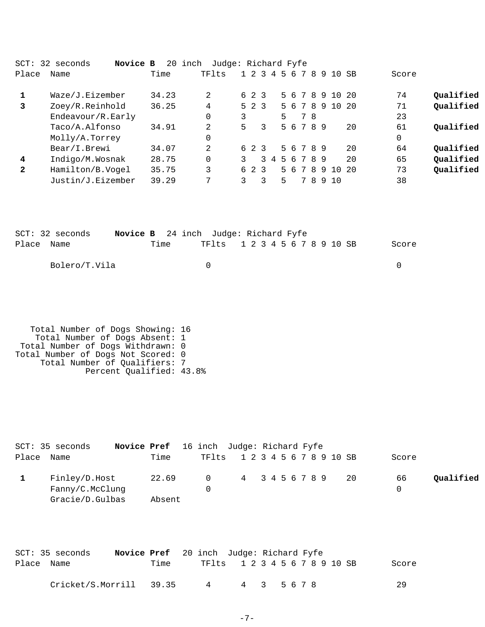| $SCT$ :      | 32 seconds<br>Novice B | 20    | Judge: Richard Fyfe<br>inch |   |       |               |             |             |   |              |       |      |       |           |
|--------------|------------------------|-------|-----------------------------|---|-------|---------------|-------------|-------------|---|--------------|-------|------|-------|-----------|
| Place        | Name                   | Time  | TFlts                       |   |       |               | 1 2 3 4 5 6 | 78          |   | - 9          | 10 SB |      | Score |           |
|              |                        |       |                             |   |       |               |             |             |   |              |       |      |       |           |
|              | Waze/J.Eizember        | 34.23 | 2                           |   | 6 2 3 |               |             | 5 6 7 8 9   |   |              | 10    | - 20 | 74    | Qualified |
| 3            | Zoey/R.Reinhold        | 36.25 | 4                           |   |       | $5 \t2 \t3$   |             | 5 6 7 8 9   |   |              | 10    | - 20 | 71    | Qualified |
|              | Endeavour/R.Early      |       |                             | 3 |       |               | 5           | 78          |   |              |       |      | 23    |           |
|              | Taco/A.Alfonso         | 34.91 | 2                           | 5 |       | 3             |             | 5 6 7 8 9   |   |              |       | 20   | 61    | Qualified |
|              | Molly/A.Torrey         |       |                             |   |       |               |             |             |   |              |       |      | 0     |           |
|              | Bear/I.Brewi           | 34.07 | 2                           |   | 6 2 3 |               |             | 5 6 7 8 9   |   |              |       | 20   | 64    | Qualified |
| 4            | Indigo/M.Wosnak        | 28.75 |                             | 3 |       | $\mathcal{L}$ |             | 4 5 6 7 8 9 |   |              |       | 20   | 65    | Qualified |
| $\mathbf{2}$ | Hamilton/B.Vogel       | 35.75 | 3                           |   | 6 2 3 |               |             | 5 6 7 8 9   |   |              | 10    | - 20 | 73    | Qualified |
|              | Justin/J.Eizember      | 39.29 | 7                           | 3 |       | 3             | 5.          | 7           | 8 | <sub>9</sub> | 10    |      | 38    |           |
|              |                        |       |                             |   |       |               |             |             |   |              |       |      |       |           |

|            | SCT: 32 seconds |      | <b>Novice B</b> 24 inch Judge: Richard Fyfe |  |  |  |  |       |
|------------|-----------------|------|---------------------------------------------|--|--|--|--|-------|
| Place Name |                 | Time | TF1ts 1 2 3 4 5 6 7 8 9 10 SB               |  |  |  |  | Score |
|            | Bolero/T.Vila   |      |                                             |  |  |  |  |       |

| Total Number of Dogs Showing: 16   |  |
|------------------------------------|--|
| Total Number of Dogs Absent: 1     |  |
| Total Number of Dogs Withdrawn: 0  |  |
| Total Number of Dogs Not Scored: 0 |  |
| Total Number of Qualifiers: 7      |  |
| Percent Qualified: 43.8%           |  |

|            | SCT: 35 seconds | <b>Novice Pref</b> 16 inch Judge: Richard Fyfe |  |                               |  |  |  |  |       |           |
|------------|-----------------|------------------------------------------------|--|-------------------------------|--|--|--|--|-------|-----------|
| Place Name |                 | Time                                           |  | TF1ts 1 2 3 4 5 6 7 8 9 10 SB |  |  |  |  | Score |           |
|            | Finley/D.Host   | 22.69                                          |  | 0 4 3 4 5 6 7 8 9 20          |  |  |  |  | 66    | Qualified |
|            | Fanny/C.McClunq |                                                |  |                               |  |  |  |  |       |           |
|            | Gracie/D.Gulbas | Absent                                         |  |                               |  |  |  |  |       |           |

|            | SCT: 35 seconds         | <b>Novice Pref</b> 20 inch Judge: Richard Fyfe |                               |             |  |  |  |  |  |       |
|------------|-------------------------|------------------------------------------------|-------------------------------|-------------|--|--|--|--|--|-------|
| Place Name |                         | Time                                           | TF1ts 1 2 3 4 5 6 7 8 9 10 SB |             |  |  |  |  |  | Score |
|            | Cricket/S.Morrill 39.35 |                                                | 4                             | 4 3 5 6 7 8 |  |  |  |  |  | 29    |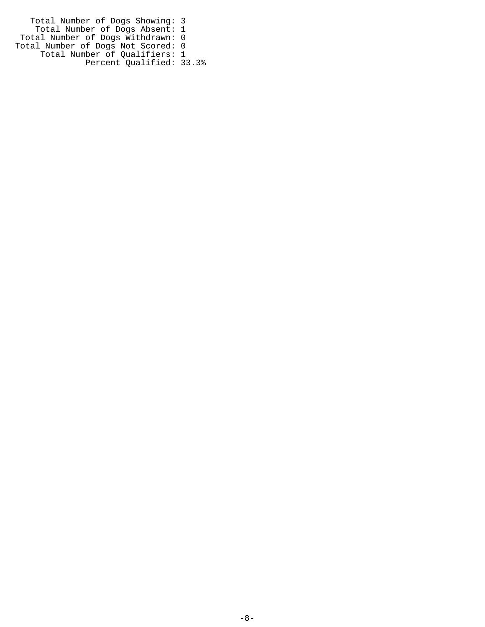Total Number of Dogs Showing: 3 Total Number of Dogs Absent: 1 Total Number of Dogs Withdrawn: 0 Total Number of Dogs Not Scored: 0 Total Number of Qualifiers: 1 Percent Qualified: 33.3%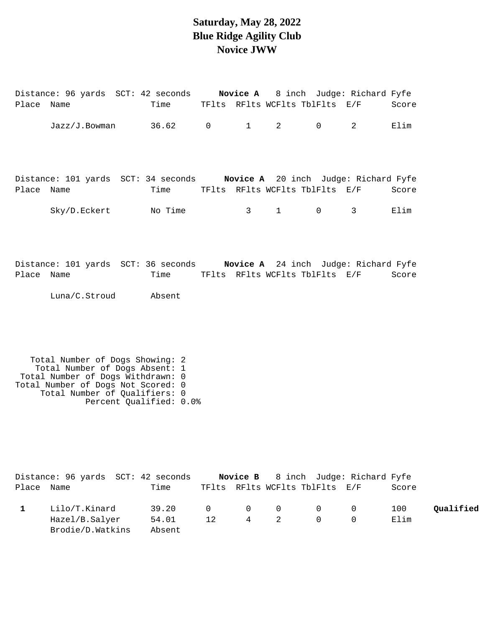### **Saturday, May 28, 2022 Blue Ridge Agility Club Novice JWW**

Distance: 96 yards SCT: 42 seconds **Novice A** 8 inch Judge: Richard Fyfe

| Place      | Name                                                                                                                                                                                                     | Time    |                |                  |                  | TFlts RFlts WCFlts TblFlts     | E/F                                                          | Score |           |
|------------|----------------------------------------------------------------------------------------------------------------------------------------------------------------------------------------------------------|---------|----------------|------------------|------------------|--------------------------------|--------------------------------------------------------------|-------|-----------|
|            | Jazz/J.Bowman                                                                                                                                                                                            | 36.62   | $\overline{0}$ | $1 \quad \cdots$ | $2^{\circ}$      | $\overline{0}$                 | $\overline{2}$                                               | Elim  |           |
| Place Name | Distance: 101 yards SCT: 34 seconds Novice A 20 inch Judge: Richard Fyfe                                                                                                                                 | Time    |                |                  |                  | TFlts RFlts WCFlts TblFlts E/F |                                                              | Score |           |
|            | Sky/D.Eckert                                                                                                                                                                                             | No Time |                | $3 \sim$         | $1 \quad \cdots$ | $\mathsf{O}$                   | 3                                                            | Elim  |           |
| Place Name | Distance: 101 yards SCT: 36 seconds Novice A 24 inch Judge: Richard Fyfe                                                                                                                                 | Time    |                |                  |                  | TFlts RFlts WCFlts TblFlts E/F |                                                              | Score |           |
|            | Luna/C.Stroud                                                                                                                                                                                            | Absent  |                |                  |                  |                                |                                                              |       |           |
|            | Total Number of Dogs Showing: 2<br>Total Number of Dogs Absent: 1<br>Total Number of Dogs Withdrawn: 0<br>Total Number of Dogs Not Scored: 0<br>Total Number of Qualifiers: 0<br>Percent Qualified: 0.0% |         |                |                  |                  |                                |                                                              |       |           |
| Place Name | Distance: 96 yards SCT: 42 seconds                                                                                                                                                                       | Time    |                | Novice B         |                  |                                | 8 inch Judge: Richard Fyfe<br>TFlts RFlts WCFlts TblFlts E/F | Score |           |
| 1          | Lilo/T.Kinard                                                                                                                                                                                            | 39.20   | 0              | 0                | 0                | 0                              | 0                                                            | 100   | Qualified |

Hazel/B.Salyer 54.01 12 4 2 0 0 Elim

Brodie/D.Watkins Absent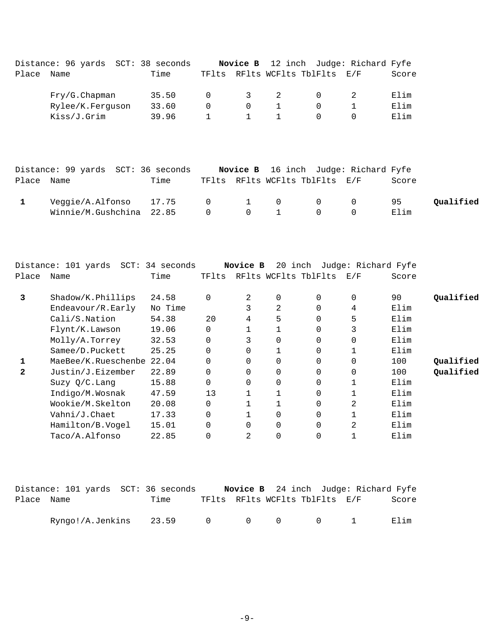| Place        | Distance: 96 yards SCT: 38 seconds<br>Name  | Time    | TFlts        | Novice B       | RFlts WCFlts TblFlts |             | 12 inch Judge: Richard Fyfe<br>E/F | Score |           |
|--------------|---------------------------------------------|---------|--------------|----------------|----------------------|-------------|------------------------------------|-------|-----------|
|              | Fry/G.Chapman                               | 35.50   | 0            | 3              | $\overline{a}$       | 0           | 2                                  | Elim  |           |
|              | Rylee/K.Ferguson                            | 33.60   | 0            | $\mathbf 0$    | $\mathbf{1}$         | $\mathbf 0$ | $\mathbf 1$                        | Elim  |           |
|              | Kiss/J.Grim                                 | 39.96   | $\mathbf{1}$ | $\mathbf{1}$   | $\mathbf{1}$         | 0           | $\Omega$                           | Elim  |           |
|              |                                             |         |              |                |                      |             |                                    |       |           |
|              | Distance: 99 yards SCT: 36 seconds          |         |              | Novice B       |                      |             | 16 inch Judge: Richard Fyfe        |       |           |
| Place        | Name                                        | Time    | TFlts        |                | RFlts WCFlts TblFlts |             | E/F                                | Score |           |
| $\mathbf{1}$ | Veggie/A.Alfonso                            | 17.75   | $\mathbf 0$  | $\mathbf{1}$   | 0                    | $\mathbf 0$ | $\mathbf 0$                        | 95    | Qualified |
|              | Winnie/M.Gushchina                          | 22.85   | 0            | $\mathbf 0$    | $\mathbf{1}$         | $\mathbf 0$ | $\mathbf 0$                        | Elim  |           |
| Place        | Distance: 101 yards SCT: 34 seconds<br>Name | Time    | TFlts        | Novice B       | RFlts WCFlts TblFlts |             | 20 inch Judge: Richard Fyfe<br>E/F | Score |           |
| 3            | Shadow/K.Phillips                           | 24.58   | 0            | 2              | 0                    | 0           | 0                                  | 90    | Qualified |
|              | Endeavour/R.Early                           | No Time |              | $\mathbf{3}$   | $\overline{2}$       | $\mathbf 0$ | 4                                  | Elim  |           |
|              | Cali/S.Nation                               | 54.38   | 20           | $\overline{4}$ | 5                    | $\mathbf 0$ | 5                                  | Elim  |           |
|              | Flynt/K.Lawson                              | 19.06   | $\mathbf 0$  | $\mathbf 1$    | $\mathbf 1$          | $\mathbf 0$ | 3                                  | Elim  |           |
|              | Molly/A.Torrey                              | 32.53   | $\Omega$     | 3              | $\Omega$             | $\Omega$    | $\mathbf 0$                        | Elim  |           |
|              | Samee/D.Puckett                             | 25.25   | $\Omega$     | $\Omega$       | 1                    | 0           | $\mathbf{1}$                       | Elim  |           |
| 1            | MaeBee/K.Rueschenbe 22.04                   |         | $\Omega$     | $\Omega$       | $\Omega$             | $\Omega$    | $\mathbf 0$                        | 100   | Qualified |
| $\mathbf{2}$ | Justin/J.Eizember                           | 22.89   | $\Omega$     | $\Omega$       | $\Omega$             | $\Omega$    | $\Omega$                           | 100   | Qualified |
|              | Suzy Q/C. Lang                              | 15.88   | $\Omega$     | $\Omega$       | $\Omega$             | $\Omega$    | $\mathbf 1$                        | Elim  |           |
|              | Indigo/M.Wosnak                             | 47.59   | 13           | $\mathbf{1}$   | $\mathbf{1}$         | $\Omega$    | $\mathbf{1}$                       | Elim  |           |
|              | Wookie/M.Skelton                            | 20.08   | 0            | $\mathbf{1}$   | $\mathbf{1}$         | $\Omega$    | $\overline{2}$                     | Elim  |           |
|              | Vahni/J.Chaet                               | 17.33   | $\Omega$     | $\mathbf{1}$   | $\Omega$             | $\Omega$    | $\mathbf 1$                        | Elim  |           |
|              |                                             |         |              |                |                      |             |                                    |       |           |
|              | Hamilton/B.Vogel                            | 15.01   | $\mathbf 0$  | $\mathbf 0$    | 0                    | $\mathbf 0$ | $\overline{2}$                     | Elim  |           |

|            |  | Distance: 101 yards SCT: 36 seconds |                                |  |  | Novice B 24 inch Judge: Richard Fyfe |       |
|------------|--|-------------------------------------|--------------------------------|--|--|--------------------------------------|-------|
| Place Name |  | Time                                | TFlts RFlts WCFlts TblFlts E/F |  |  |                                      | Score |
|            |  | Ryngo!/A.Jenkins 23.59 0 0 0 0 1    |                                |  |  |                                      | Filim |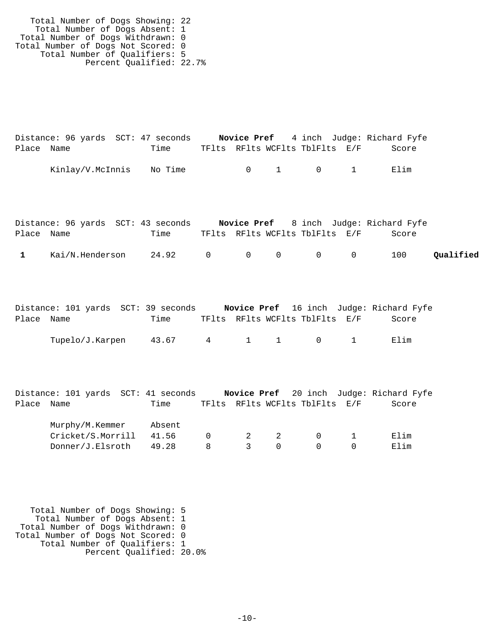Total Number of Dogs Showing: 22 Total Number of Dogs Absent: 1 Total Number of Dogs Withdrawn: 0 Total Number of Dogs Not Scored: 0 Total Number of Qualifiers: 5 Percent Qualified: 22.7%

|            | Distance: 96 yards SCT: 47 seconds |      |  |                                | <b>Novice Pref</b> 4 inch Judge: Richard Fyfe |  |
|------------|------------------------------------|------|--|--------------------------------|-----------------------------------------------|--|
| Place Name |                                    | Time |  | TFlts RFlts WCFlts TblFlts E/F | Score                                         |  |
|            | Kinlay/V.McInnis No Time           |      |  | $0 \qquad 1 \qquad 0 \qquad 1$ | Flim                                          |  |

|              |                 | Distance: 96 yards SCT: 43 seconds |  |                                |  | <b>Novice Pref</b> 8 inch Judge: Richard Fyfe |           |
|--------------|-----------------|------------------------------------|--|--------------------------------|--|-----------------------------------------------|-----------|
| Place Name   |                 | Time                               |  | TFlts RFlts WCFlts TblFlts E/F |  | Score                                         |           |
| $\mathbf{1}$ | Kai/N.Henderson | 24.92 0 0 0 0 0                    |  |                                |  | 100                                           | Qualified |

|            | Distance: 101 yards SCT: 39 seconds |                 |  |                                | Novice Pref 16 inch Judge: Richard Fyfe |
|------------|-------------------------------------|-----------------|--|--------------------------------|-----------------------------------------|
| Place Name |                                     | Time            |  | TFlts RFlts WCFlts TblFlts E/F | Score                                   |
|            | Tupelo/J.Karpen                     | 43.67 4 1 1 0 1 |  |                                | Elim                                    |

|            | Distance: 101 yards SCT: 41 seconds | Novice Pref 20 inch Judge: Richard Fyfe |       |
|------------|-------------------------------------|-----------------------------------------|-------|
| Place Name | Time                                | TFlts RFlts WCFlts TblFlts E/F          | Score |

| Murphy/M.Kemmer Absent        |  |           |                                          |        |
|-------------------------------|--|-----------|------------------------------------------|--------|
| Cricket/S.Morrill 41.56 0 2 2 |  |           | $\begin{array}{ccc}\n0 & 1\n\end{array}$ | F. lim |
| $Donner/J.Elsroth$ 49.28      |  | 8 3 0 0 0 |                                          | Elim   |

 Total Number of Dogs Showing: 5 Total Number of Dogs Absent: 1 Total Number of Dogs Withdrawn: 0 Total Number of Dogs Not Scored: 0 Total Number of Qualifiers: 1 Percent Qualified: 20.0%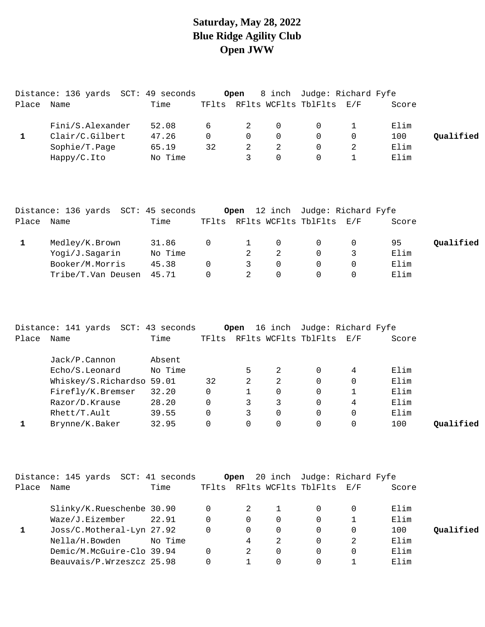## **Saturday, May 28, 2022 Blue Ridge Agility Club Open JWW**

| RFlts WCFlts TblFlts<br>E/F | Score            |  |
|-----------------------------|------------------|--|
|                             |                  |  |
|                             | Elim             |  |
|                             | Oualified<br>100 |  |
|                             | Elim             |  |
|                             | Elim             |  |
|                             |                  |  |

|       | Distance: 136 yards SCT: 45 seconds |         |          |   |          | Open 12 inch Judge: Richard Fyfe |       |           |
|-------|-------------------------------------|---------|----------|---|----------|----------------------------------|-------|-----------|
| Place | Name                                | Time    | TFlts    |   |          | RFlts WCFlts TblFlts E/F         | Score |           |
|       | Medley/K.Brown                      | 31.86   | $\Omega$ |   |          | $\overline{0}$                   | 95    | Qualified |
|       | Yogi/J.Sagarin                      | No Time |          |   |          |                                  | Elim  |           |
|       | Booker/M.Morris                     | 45.38   | $\Omega$ | 3 | $\Omega$ |                                  | Elim  |           |
|       | Tribe/T.Van Deusen                  | 45.71   | 0        |   |          |                                  | Elim  |           |

|       | Distance: 141 yards SCT: 43 seconds |         |       | Open |   | 16 inch Judge: Richard Fyfe |     |       |           |
|-------|-------------------------------------|---------|-------|------|---|-----------------------------|-----|-------|-----------|
| Place | Name                                | Time    | TFlts |      |   | RFlts WCFlts TblFlts        | E/F | Score |           |
|       | Jack/P.Cannon                       | Absent  |       |      |   |                             |     |       |           |
|       | Echo/S.Leonard                      | No Time |       | 5    | 2 |                             | 4   | Elim  |           |
|       | Whiskey/S.Richardso 59.01           |         | 32    | 2    | 2 |                             |     | Elim  |           |
|       | Firefly/K.Bremser                   | 32.20   | 0     |      |   |                             |     | Elim  |           |
|       | Razor/D.Krause                      | 28.20   | 0     |      | 3 | 0                           | 4   | Elim  |           |
|       | Rhett/T.Ault                        | 39.55   | 0     | 3    |   |                             |     | Elim  |           |
|       | Brynne/K.Baker                      | 32.95   |       | 0    |   |                             |     | 100   | Oualified |

|       | Distance: 145 yards SCT: 41 seconds |         | Open     |          |                                | 20 inch Judge: Richard Fyfe |       |           |
|-------|-------------------------------------|---------|----------|----------|--------------------------------|-----------------------------|-------|-----------|
| Place | Name                                | Time    |          |          | TFlts RFlts WCFlts TblFlts E/F |                             | Score |           |
|       | Slinky/K.Rueschenbe 30.90           |         | 2        |          |                                |                             | Elim  |           |
|       | Waze/J.Eizember                     | 22.91   | $\Omega$ | $\Omega$ | 0                              |                             | Elim  |           |
|       | Joss/C.Motheral-Lyn 27.92           |         | 0        | $\Omega$ | $\Omega$                       |                             | 100   | Oualified |
|       | Nella/H.Bowden                      | No Time | 4        | 2        | 0                              |                             | Elim  |           |
|       | Demic/M.McGuire-Clo 39.94           |         | 2        | $\Omega$ | 0                              |                             | Elim  |           |
|       | Beauvais/P.Wrzeszcz 25.98           |         |          | 0        |                                |                             | Elim  |           |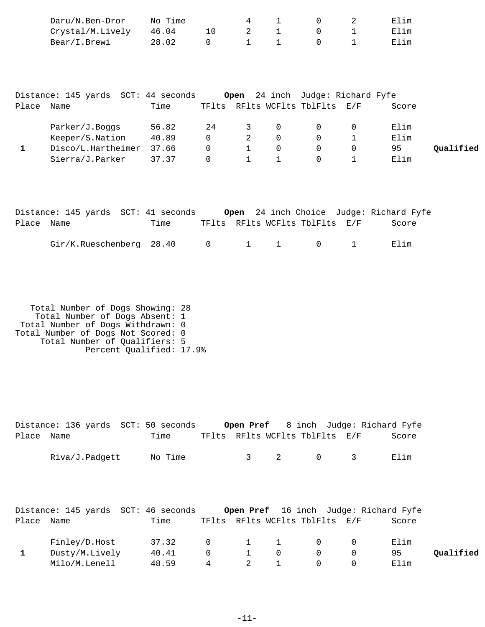|              | Daru/N.Ben-Dror                     | No Time |             | 4            | 1            | 0                                       | 2            | Elim  |           |
|--------------|-------------------------------------|---------|-------------|--------------|--------------|-----------------------------------------|--------------|-------|-----------|
|              | Crystal/M.Lively                    | 46.04   | 10          | 2            | $\mathbf{1}$ | $\mathbf 0$                             |              | Elim  |           |
|              | Bear/I.Brewi                        | 28.02   | $\mathbf 0$ | $\mathbf 1$  | $\mathbf{1}$ | $\Omega$                                | $\mathbf{1}$ | Elim  |           |
|              |                                     |         |             |              |              |                                         |              |       |           |
|              |                                     |         |             |              |              |                                         |              |       |           |
|              | Distance: 145 yards SCT: 44 seconds |         |             |              |              | <b>Open</b> 24 inch Judge: Richard Fyfe |              |       |           |
| Place        | Name                                | Time    |             |              |              | TFlts RFlts WCFlts TblFlts              | E/F          | Score |           |
|              | Parker/J.Boggs                      | 56.82   | 24          | 3            | $\mathbf 0$  | $\mathbf 0$                             | $\mathbf 0$  | Elim  |           |
|              | Keeper/S.Nation                     | 40.89   | $\mathbf 0$ | 2            | $\mathbf 0$  | $\Omega$                                |              | Elim  |           |
| $\mathbf{1}$ | Disco/L.Hartheimer                  | 37.66   | $\mathbf 0$ | $\mathbf{1}$ | $\mathbf 0$  | $\mathbf 0$                             | $\mathbf 0$  | 95    | Qualified |
|              | Sierra/J.Parker                     | 37.37   | $\mathbf 0$ | $\mathbf{1}$ | $\mathbf{1}$ | $\Omega$                                | $\mathbf{1}$ | Elim  |           |
|              |                                     |         |             |              |              |                                         |              |       |           |
|              |                                     |         |             |              |              |                                         |              |       |           |
|              |                                     |         |             |              |              |                                         |              |       |           |

|            | Distance: 145 yards SCT: 41 seconds |      |  |                                | Open 24 inch Choice Judge: Richard Fyfe |
|------------|-------------------------------------|------|--|--------------------------------|-----------------------------------------|
| Place Name |                                     | Time |  | TFlts RFlts WCFlts TblFlts E/F | Score                                   |
|            | Gir/K. Rueschenberg 28.40 0 1 1 0 1 |      |  |                                | Elim                                    |

| Total Number of Dogs Showing: 28   |  |
|------------------------------------|--|
| Total Number of Dogs Absent: 1     |  |
| Total Number of Dogs Withdrawn: 0  |  |
| Total Number of Dogs Not Scored: 0 |  |
| Total Number of Qualifiers: 5      |  |
| Percent Qualified: 17.9%           |  |

|            | Distance: 136 yards SCT: 50 seconds |         |             | Open Pref    |              |                                |             | 8 inch Judge: Richard Fyfe                   |           |
|------------|-------------------------------------|---------|-------------|--------------|--------------|--------------------------------|-------------|----------------------------------------------|-----------|
| Place Name |                                     | Time    |             |              |              | TFlts RFlts WCFlts TblFlts E/F |             | Score                                        |           |
|            | Riva/J.Padgett                      | No Time |             | $\mathbf{3}$ | -2           | $\mathbf 0$                    | 3           | Elim                                         |           |
|            | Distance: 145 yards SCT: 46 seconds |         |             |              |              |                                |             | <b>Open Pref</b> 16 inch Judge: Richard Fyfe |           |
| Place Name |                                     | Time    |             |              |              | TFlts RFlts WCFlts TblFlts E/F |             | Score                                        |           |
|            | Finley/D.Host                       | 37.32   | $\mathbf 0$ |              | $\mathbf{1}$ | $\mathbf 0$                    | 0           | Elim                                         |           |
| 1          | Dusty/M.Lively 40.41                |         | $\mathbf 0$ |              | $\Omega$     | $\mathbf 0$                    | $\mathbf 0$ | 95                                           | Qualified |
|            | Milo/M.Lenell                       | 48.59   | 4           | 2            |              | $\Omega$                       | 0           | Elim                                         |           |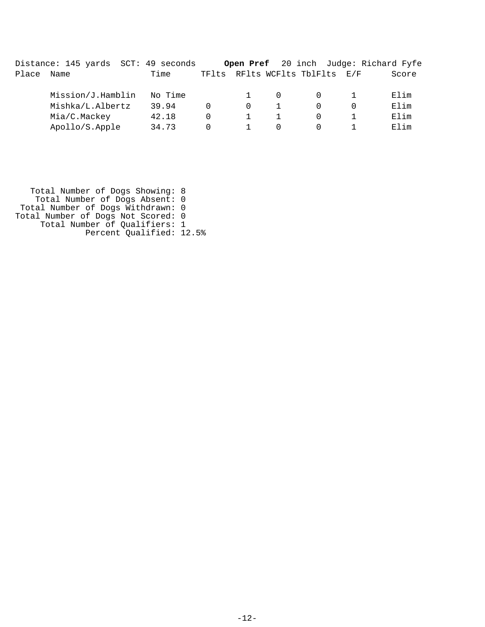|       | Distance: 145 yards SCT: 49 seconds |         |       |          |                          | <b>Open Pref</b> 20 inch Judge: Richard Fyfe |
|-------|-------------------------------------|---------|-------|----------|--------------------------|----------------------------------------------|
| Place | Name                                | Time    | TFlts |          | RFlts WCFlts TblFlts E/F | Score                                        |
|       | Mission/J.Hamblin                   | No Time |       |          |                          | Elim                                         |
|       | Mishka/L.Albertz                    | 39.94   |       | $\Omega$ |                          | Elim                                         |
|       | Mia/C.Mackey                        | 42.18   |       |          |                          | Elim                                         |
|       | Apollo/S.Apple                      | 34.73   |       |          |                          | Elim                                         |

 Total Number of Dogs Showing: 8 Total Number of Dogs Absent: 0 Total Number of Dogs Withdrawn: 0 Total Number of Dogs Not Scored: 0 Total Number of Qualifiers: 1 Percent Qualified: 12.5%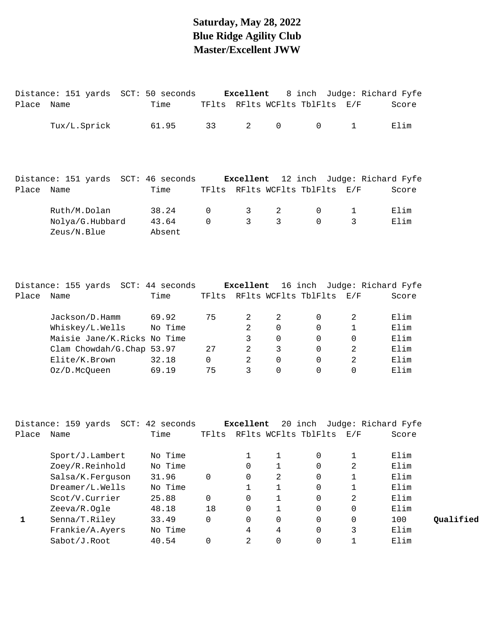## **Saturday, May 28, 2022 Blue Ridge Agility Club Master/Excellent JWW**

|       | Distance: 151 yards SCT: 50 seconds           |                 |          | Excellent      |                |                            | 8 inch Judge: Richard Fyfe  |       |
|-------|-----------------------------------------------|-----------------|----------|----------------|----------------|----------------------------|-----------------------------|-------|
| Place | Name                                          | Time            |          |                |                | TFlts RFlts WCFlts TblFlts | E/F                         | Score |
|       | Tux/L.Sprick                                  | 61.95           | 33       | $\overline{2}$ | $\mathbf 0$    | $\mathsf{O}$               | $\mathbf 1$                 | Elim  |
|       | Distance: 151 yards SCT: 46 seconds Excellent |                 |          |                |                |                            | 12 inch Judge: Richard Fyfe |       |
| Place | Name                                          | Time            |          |                |                | TFlts RFlts WCFlts TblFlts | E/F                         | Score |
|       | Ruth/M.Dolan                                  | 38.24           | 0        | 3              | $\sqrt{2}$     | $\mathsf{O}$               | 1                           | Elim  |
|       | Nolya/G.Hubbard<br>Zeus/N.Blue                | 43.64<br>Absent | $\Omega$ | 3              | $\overline{3}$ | $\Omega$                   | 3                           | Elim  |
|       |                                               |                 |          |                |                |                            |                             |       |
|       | Distance: 155 yards SCT: 44 seconds Excellent |                 |          |                |                |                            | 16 inch Judge: Richard Fyfe |       |
| Place | Name                                          | Time            |          |                |                | TFlts RFlts WCFlts TblFlts | E/F                         | Score |
|       | Jackson/D.Hamm                                | 69.92           | 75       | $\overline{2}$ | 2              | $\mathbf 0$                | 2                           | Elim  |
|       | Whiskey/L.Wells                               | No Time         |          | $\overline{2}$ | $\mathbf 0$    | $\mathbf 0$                | $\mathbf 1$                 | Elim  |
|       | Maisie Jane/K.Ricks No Time                   |                 |          | 3              | $\Omega$       | $\Omega$                   | $\mathbf 0$                 | Elim  |
|       | Clam Chowdah/G.Chap 53.97                     |                 | 27       | $\overline{2}$ | 3              | $\Omega$                   | $\overline{a}$              | Elim  |
|       | Elite/K.Brown                                 | 32.18           | $\Omega$ | $\overline{2}$ | $\Omega$       | $\Omega$                   | $\overline{2}$              | Elim  |
|       | Oz/D.McQueen                                  | 69.19           | 75       | 3              | $\mathbf 0$    | $\mathsf{O}$               | 0                           | Elim  |
|       |                                               |                 |          |                |                |                            |                             |       |
|       |                                               |                 |          |                |                |                            |                             |       |
|       |                                               |                 |          |                |                |                            |                             |       |

|       | Distance: 159 yards | 42 seconds<br>$SCT$ : |       | Excellent |   | 20 inch              |          | Judge: Richard Fyfe |
|-------|---------------------|-----------------------|-------|-----------|---|----------------------|----------|---------------------|
| Place | Name                | Time                  | TFlts |           |   | RFlts WCFlts TblFlts | E/F      | Score               |
|       |                     |                       |       |           |   |                      |          |                     |
|       | Spot/J.Lambert      | No Time               |       | 1         |   | 0                    |          | Elim                |
|       | Zoey/R.Reinhold     | No Time               |       | 0         |   | 0                    | 2        | Elim                |
|       | Salsa/K.Ferguson    | 31.96                 | 0     | 0         | 2 | 0                    |          | Elim                |
|       | Dreamer/L.Wells     | No Time               |       |           |   | 0                    |          | Elim                |
|       | Scot/V.Currier      | 25.88                 | 0     | 0         |   | 0                    | 2        | Elim                |
|       | Zeeva/R.Ogle        | 48.18                 | 18    | 0         |   | 0                    | $\Omega$ | Elim                |
|       | Senna/T.Riley       | 33.49                 | 0     | 0         | 0 | 0                    | $\Omega$ | 100                 |
|       | Frankie/A.Ayers     | No Time               |       | 4         | 4 | 0                    | 3        | Elim                |
|       | Sabot/J.Root        | 40.54                 |       | 2         |   |                      |          | Elim                |

Senna/T.Riley 33.49 0 0 0 0 0 100 **1 Qualified**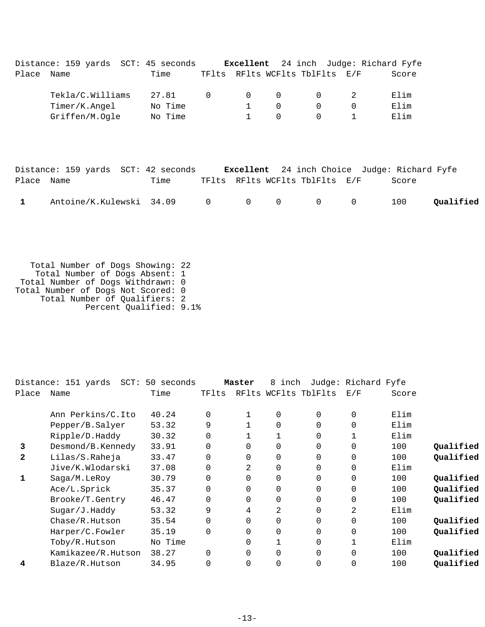|            | Distance: 159 yards SCT: 45 seconds <b>Excellent</b> 24 inch Judge: Richard Fyfe |         |                |                                            |                |                                |              |                                              |
|------------|----------------------------------------------------------------------------------|---------|----------------|--------------------------------------------|----------------|--------------------------------|--------------|----------------------------------------------|
| Place Name |                                                                                  | Time    |                |                                            |                | TFlts RFlts WCFlts TblFlts E/F |              | Score                                        |
|            | Tekla/C.Williams                                                                 | 27.81   | $\overline{0}$ | $\overline{0}$<br>$\overline{\phantom{0}}$ |                | $\mathbf{0}$                   |              | Elim                                         |
|            | Timer/K.Angel No Time                                                            |         |                | $1 \qquad \qquad$                          | $\overline{0}$ | $\overline{0}$                 | $\mathbf 0$  | Elim                                         |
|            | Griffen/M.Oqle                                                                   | No Time |                | $1 \quad \blacksquare$                     | $\mathbf 0$    | $\Omega$                       | $\mathbf{1}$ | Elim                                         |
|            |                                                                                  |         |                |                                            |                |                                |              |                                              |
|            | Distance: 159 yards SCT: 42 seconds                                              |         |                |                                            |                |                                |              | Excellent 24 inch Choice Judge: Richard Fyfe |
| Place Name |                                                                                  | Time    |                |                                            |                | TFlts RFlts WCFlts TblFlts E/F |              | Score                                        |

| 1 Antoine/K.Kulewski 34.09 0 0 0 0 0 0 100 Qualified |  |  |  |  |
|------------------------------------------------------|--|--|--|--|
|                                                      |  |  |  |  |

 Total Number of Dogs Showing: 22 Total Number of Dogs Absent: 1 Total Number of Dogs Withdrawn: 0 Total Number of Dogs Not Scored: 0 Total Number of Qualifiers: 2 Percent Qualified: 9.1%

|              | Distance: 151 yards<br>$SCT$ : | 50 seconds |          | Master   | 8<br>inch |                      | Judge: Richard Fyfe |       |           |
|--------------|--------------------------------|------------|----------|----------|-----------|----------------------|---------------------|-------|-----------|
| Place        | Name                           | Time       | TFlts    |          |           | RFlts WCFlts TblFlts | E/F                 | Score |           |
|              | Ann Perkins/C.Ito              | 40.24      | $\Omega$ |          | 0         | 0                    | $\mathbf 0$         | Elim  |           |
|              | Pepper/B.Salyer                | 53.32      | 9        |          | 0         | 0                    | $\mathbf 0$         | Elim  |           |
|              | Ripple/D.Haddy                 | 30.32      | $\Omega$ |          |           | 0                    |                     | Elim  |           |
| 3            | Desmond/B.Kennedy              | 33.91      |          | $\Omega$ | 0         | 0                    | 0                   | 100   | Qualified |
| $\mathbf{2}$ | Lilas/S.Raheja                 | 33.47      | $\Omega$ | $\Omega$ | 0         | 0                    | $\mathbf 0$         | 100   | Qualified |
|              | Jive/K.Wlodarski               | 37.08      |          | 2        | 0         | 0                    | $\mathbf 0$         | Elim  |           |
| 1            | Saga/M.LeRoy                   | 30.79      |          | $\Omega$ | 0         | 0                    | $\Omega$            | 100   | Qualified |
|              | Ace/L.Sprick                   | 35.37      | $\Omega$ | $\Omega$ | 0         | 0                    | $\mathbf 0$         | 100   | Qualified |
|              | Brooke/T.Gentry                | 46.47      |          | $\Omega$ | 0         | 0                    | $\mathbf 0$         | 100   | Qualified |
|              | Sugar/J.Haddy                  | 53.32      | 9        | 4        | 2         | 0                    | 2                   | Elim  |           |
|              | Chase/R.Hutson                 | 35.54      | $\Omega$ | 0        | 0         | 0                    | $\mathbf 0$         | 100   | Qualified |
|              | Harper/C.Fowler                | 35.19      | $\Omega$ | $\Omega$ | 0         | 0                    | $\mathbf 0$         | 100   | Qualified |
|              | Toby/R.Hutson                  | No Time    |          | $\Omega$ |           | 0                    |                     | Elim  |           |
|              | Kamikazee/R.Hutson             | 38.27      | $\Omega$ | $\Omega$ | 0         | 0                    | $\Omega$            | 100   | Qualified |
| 4            | Blaze/R.Hutson                 | 34.95      |          | $\Omega$ | 0         | 0                    | 0                   | 100   | Qualified |
|              |                                |            |          |          |           |                      |                     |       |           |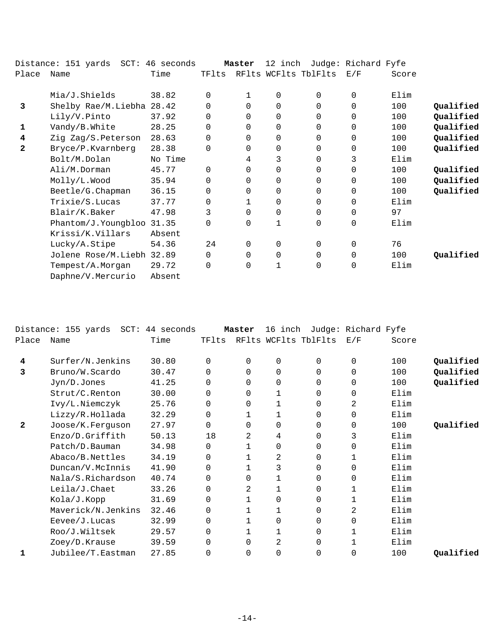|              | Distance: 151 yards SCT: 46 seconds |         |          | Master   | 12 inch      |                      | Judge: Richard Fyfe |       |           |
|--------------|-------------------------------------|---------|----------|----------|--------------|----------------------|---------------------|-------|-----------|
| Place        | Name                                | Time    | TFlts    |          |              | RFlts WCFlts TblFlts | E/F                 | Score |           |
|              | Mia/J.Shields                       | 38.82   | $\Omega$ | 1        | 0            | $\Omega$             | $\Omega$            | Elim  |           |
| 3            | Shelby Rae/M.Liebha 28.42           |         | 0        | $\Omega$ | $\mathbf 0$  | $\Omega$             | 0                   | 100   | Qualified |
|              | Lily/V.Pinto                        | 37.92   | $\Omega$ | $\Omega$ | $\mathbf 0$  | $\Omega$             | 0                   | 100   | Qualified |
| 1            | Vandy/B.White                       | 28.25   | 0        | $\Omega$ | $\Omega$     | $\Omega$             | $\Omega$            | 100   | Qualified |
| 4            | Zig Zag/S.Peterson                  | 28.63   | $\Omega$ | 0        | $\mathbf 0$  | $\Omega$             | 0                   | 100   | Qualified |
| $\mathbf{2}$ | Bryce/P.Kvarnberg                   | 28.38   | $\Omega$ | $\Omega$ | 0            | 0                    | 0                   | 100   | Qualified |
|              | Bolt/M.Dolan                        | No Time |          | 4        | 3            | $\Omega$             | 3                   | Elim  |           |
|              | Ali/M.Dorman                        | 45.77   | $\Omega$ | $\Omega$ | $\mathbf 0$  | 0                    | $\mathbf 0$         | 100   | Qualified |
|              | Molly/L.Wood                        | 35.94   | $\Omega$ | $\Omega$ | $\mathbf 0$  | $\Omega$             | $\Omega$            | 100   | Qualified |
|              | Beetle/G. Chapman                   | 36.15   | $\Omega$ | 0        | 0            | 0                    | $\Omega$            | 100   | Qualified |
|              | Trixie/S.Lucas                      | 37.77   | $\Omega$ |          | 0            | 0                    | $\Omega$            | Elim  |           |
|              | Blair/K.Baker                       | 47.98   | 3        | $\Omega$ | 0            | $\Omega$             | 0                   | 97    |           |
|              | Phantom/J.Youngbloo 31.35           |         | $\Omega$ | $\Omega$ | $\mathbf 1$  | $\Omega$             | $\mathbf 0$         | Elim  |           |
|              | Krissi/K.Villars                    | Absent  |          |          |              |                      |                     |       |           |
|              | Lucky/A.Stipe                       | 54.36   | 24       | $\Omega$ | $\mathbf 0$  | $\Omega$             | 0                   | 76    |           |
|              | Jolene Rose/M.Liebh 32.89           |         | 0        | $\Omega$ | $\mathbf 0$  | $\Omega$             | $\Omega$            | 100   | Qualified |
|              | Tempest/A.Morgan                    | 29.72   | 0        | 0        | $\mathbf{1}$ | 0                    | 0                   | Elim  |           |
|              | Daphne/V.Mercurio                   | Absent  |          |          |              |                      |                     |       |           |

|       | Distance: 155 yards SCT: 44 seconds |       |          | Master   | 16 inch      |                      | Judge: Richard Fyfe |       |           |
|-------|-------------------------------------|-------|----------|----------|--------------|----------------------|---------------------|-------|-----------|
| Place | Name                                | Time  | TFlts    |          |              | RFlts WCFlts TblFlts | E/F                 | Score |           |
| 4     | Surfer/N.Jenkins                    | 30.80 | $\Omega$ | $\Omega$ | 0            | 0                    | 0                   | 100   | Qualified |
| 3     | Bruno/W.Scardo                      | 30.47 | $\Omega$ | $\Omega$ | $\Omega$     | 0                    | $\mathbf 0$         | 100   | Qualified |
|       | Jyn/D.Jones                         | 41.25 | $\Omega$ | $\Omega$ | 0            | 0                    | $\mathbf 0$         | 100   | Qualified |
|       | Strut/C.Renton                      | 30.00 | 0        | 0        | 1            | 0                    | $\mathbf 0$         | Elim  |           |
|       | Ivy/L.Niemczyk                      | 25.76 | $\Omega$ | $\Omega$ | $\mathbf{1}$ | 0                    | 2                   | Elim  |           |
|       | Lizzy/R.Hollada                     | 32.29 | 0        |          | 1            | 0                    | $\Omega$            | Elim  |           |
| 2     | Joose/K.Ferguson                    | 27.97 | 0        | $\Omega$ | 0            | 0                    | 0                   | 100   | Qualified |
|       | Enzo/D.Griffith                     | 50.13 | 18       | 2        | 4            | 0                    | 3                   | Elim  |           |
|       | Patch/D.Bauman                      | 34.98 | 0        |          | 0            | 0                    | 0                   | Elim  |           |
|       | Abaco/B.Nettles                     | 34.19 | $\Omega$ |          | 2            | 0                    | 1                   | Elim  |           |
|       | Duncan/V.McInnis                    | 41.90 | 0        |          | 3            | 0                    | 0                   | Elim  |           |
|       | Nala/S.Richardson                   | 40.74 | 0        | 0        |              | 0                    | 0                   | Elim  |           |
|       | Leila/J.Chaet                       | 33.26 | 0        | 2        |              | 0                    |                     | Elim  |           |
|       | Kola/J.Kopp                         | 31.69 | 0        |          | 0            | 0                    | 1                   | Elim  |           |
|       | Maverick/N.Jenkins                  | 32.46 | 0        | 1        | 1            | 0                    | 2                   | Elim  |           |
|       | Eevee/J.Lucas                       | 32.99 | 0        |          | 0            | 0                    | 0                   | Elim  |           |
|       | Roo/J.Wiltsek                       | 29.57 | 0        |          |              | 0                    |                     | Elim  |           |
|       | Zoey/D.Krause                       | 39.59 | $\Omega$ | $\Omega$ | 2            | 0                    |                     | Elim  |           |
|       | Jubilee/T.Eastman                   | 27.85 | 0        | $\Omega$ | 0            | 0                    | $\Omega$            | 100   | Qualified |
|       |                                     |       |          |          |              |                      |                     |       |           |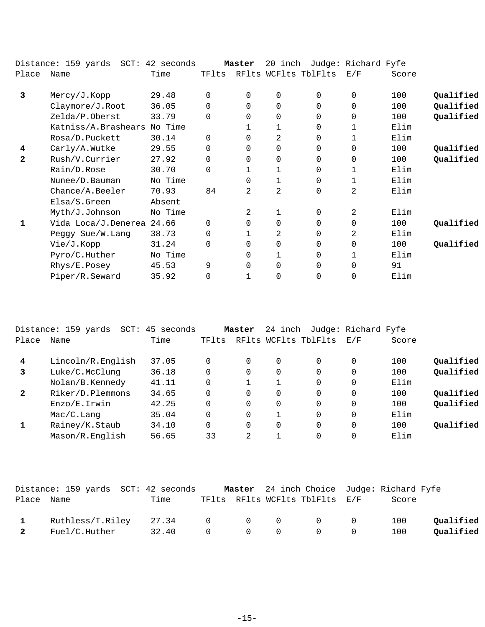|              | Distance: 159 yards SCT: 42 seconds |         |          | Master   | 20 inch        |                      | Judge: Richard Fyfe |       |           |
|--------------|-------------------------------------|---------|----------|----------|----------------|----------------------|---------------------|-------|-----------|
| Place        | Name                                | Time    | TFlts    |          |                | RFlts WCFlts TblFlts | E/F                 | Score |           |
| 3            | Mercy/J.Kopp                        | 29.48   | $\Omega$ | 0        | $\mathbf 0$    | $\Omega$             | $\Omega$            | 100   | Qualified |
|              | Claymore/J.Root                     | 36.05   | 0        | $\Omega$ | $\mathbf 0$    | $\Omega$             | $\Omega$            | 100   | Qualified |
|              | Zelda/P.Oberst                      | 33.79   | $\Omega$ | 0        | $\mathbf 0$    | $\Omega$             | 0                   | 100   | Qualified |
|              | Katniss/A.Brashears                 | No Time |          |          |                | 0                    | $\mathbf{1}$        | Elim  |           |
|              | Rosa/D.Puckett                      | 30.14   | $\Omega$ | 0        | 2              | $\Omega$             | 1                   | Elim  |           |
| 4            | Carly/A.Wutke                       | 29.55   | 0        | $\Omega$ | $\mathbf 0$    | $\Omega$             | $\Omega$            | 100   | Qualified |
| $\mathbf{z}$ | Rush/V.Currier                      | 27.92   | $\Omega$ | 0        | $\mathbf 0$    | $\Omega$             | $\Omega$            | 100   | Qualified |
|              | Rain/D.Rose                         | 30.70   | $\Omega$ |          |                | 0                    | 1                   | Elim  |           |
|              | Nunee/D. Bauman                     | No Time |          | $\Omega$ | $\mathbf{1}$   | $\Omega$             | 1                   | Elim  |           |
|              | Chance/A.Beeler                     | 70.93   | 84       | 2        | $\overline{2}$ | 0                    | 2                   | Elim  |           |
|              | Elsa/S.Green                        | Absent  |          |          |                |                      |                     |       |           |
|              | Myth/J.Johnson                      | No Time |          | 2        | 1              | $\Omega$             | 2                   | Elim  |           |
| 1            | Vida Loca/J.Denerea                 | 24.66   | $\Omega$ | 0        | $\mathbf 0$    | $\Omega$             | $\Omega$            | 100   | Qualified |
|              | Peggy Sue/W.Lang                    | 38.73   | $\Omega$ |          | 2              | $\Omega$             | 2                   | Elim  |           |
|              | Vie/J.Kopp                          | 31.24   | $\Omega$ | 0        | $\mathbf 0$    | $\Omega$             | $\Omega$            | 100   | Qualified |
|              | Pyro/C.Huther                       | No Time |          | 0        |                | 0                    | 1                   | Elim  |           |
|              | Rhys/E.Posey                        | 45.53   | 9        | 0        | $\mathbf 0$    | $\Omega$             | $\Omega$            | 91    |           |
|              | Piper/R.Seward                      | 35.92   | 0        |          | $\overline{0}$ | 0                    | $\Omega$            | Elim  |           |

|                | Distance: 159 yards<br>$SCT$ : | 45<br>seconds |          | Master         | 24 inch  |                      | Judge: Richard Fyfe |       |           |
|----------------|--------------------------------|---------------|----------|----------------|----------|----------------------|---------------------|-------|-----------|
| Place          | Name                           | Time          | TFlts    |                |          | RFlts WCFlts TblFlts | E/F                 | Score |           |
| $\overline{4}$ | Lincoln/R.English              | 37.05         |          | 0              | 0        | 0                    |                     | 100   | Qualified |
| 3              | Luke/C.McClunq                 | 36.18         | 0        | 0              | 0        | $\Omega$             |                     | 100   | Qualified |
|                | Nolan/B.Kennedy                | 41.11         |          |                |          | $\Omega$             | 0                   | Elim  |           |
| $\mathbf{2}$   | Riker/D.Plemmons               | 34.65         | $\Omega$ | 0              | $\Omega$ | $\Omega$             | 0                   | 100   | Qualified |
|                | Enzo/E.Irwin                   | 42.25         |          | 0              | 0        | $\Omega$             | 0                   | 100   | Qualified |
|                | Mac/C.Lang                     | 35.04         |          | 0              |          | $\Omega$             | 0                   | Elim  |           |
|                | Rainey/K.Staub                 | 34.10         | $\Omega$ | 0              | $\Omega$ | $\Omega$             | 0                   | 100   | Oualified |
|                | Mason/R.English                | 56.65         | 33       | $\mathfrak{D}$ |          | 0                    |                     | Elim  |           |

|              | Distance: 159 yards SCT: 42 seconds |             |  | Master 24 inch Choice Judge: Richard Fyfe          |       |           |
|--------------|-------------------------------------|-------------|--|----------------------------------------------------|-------|-----------|
| Place Name   |                                     | Time        |  | TFlts RFlts WCFlts TblFlts E/F                     | Score |           |
| $\mathbf{1}$ | Ruthless/T.Riley 27.34              |             |  | $\begin{matrix} 0 & 0 & 0 & 0 & 0 \end{matrix}$    | 100   | Oualified |
| 2            | Fuel/C.Huther                       | 32.40 0 0 0 |  | $\begin{array}{ccc} & & & 0 & \quad & \end{array}$ | 100   | Qualified |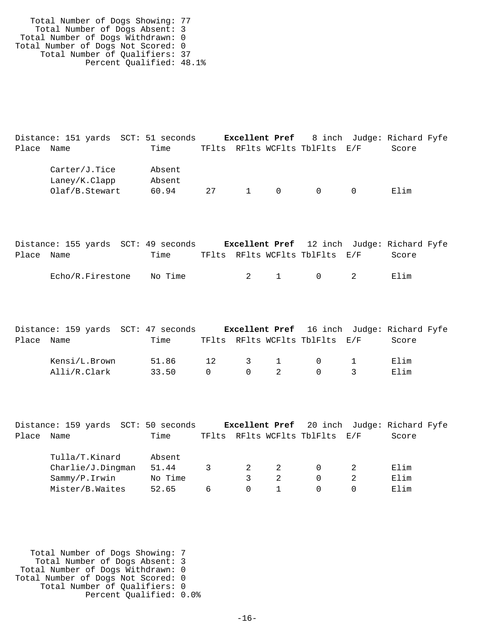Total Number of Dogs Showing: 77 Total Number of Dogs Absent: 3 Total Number of Dogs Withdrawn: 0 Total Number of Dogs Not Scored: 0 Total Number of Qualifiers: 37 Percent Qualified: 48.1%

Distance: 151 yards SCT: 51 seconds **Excellent Pref** 8 inch Judge: Richard Fyfe Place Name Time TFlts RFlts WCFlts TblFlts E/F Score Carter/J.Tice Absent Laney/K.Clapp Absent Olaf/B.Stewart 60.94 27 1 0 0 0 Elim

|            | Distance: 155 yards SCT: 49 seconds |         |  | <b>Excellent Pref</b> 12 inch Judge: Richard Fyfe |       |  |
|------------|-------------------------------------|---------|--|---------------------------------------------------|-------|--|
| Place Name |                                     | Time    |  | TFlts RFlts WCFlts TblFlts E/F                    | Score |  |
|            | Echo/R.Firestone                    | No Time |  | 2 1 0 2                                           | Elim  |  |

|            |               | Distance: 159 yards SCT: 47 seconds |           |                                                    |                                | Excellent Pref 16 inch Judge: Richard Fyfe |
|------------|---------------|-------------------------------------|-----------|----------------------------------------------------|--------------------------------|--------------------------------------------|
| Place Name |               | Time                                |           |                                                    | TFlts RFlts WCFlts TblFlts E/F | Score                                      |
|            | Kensi/L.Brown | 51.86 12 3 1 0 1                    |           |                                                    |                                | Elim                                       |
|            | Alli/R.Clark  | 33.50                               | $\bigcap$ | $\begin{array}{ccc} & & 0 & \quad & 2 \end{array}$ | $\overline{0}$                 | Elim                                       |

|            | Distance: 159 yards SCT: 50 seconds |         |   |          | <b>Excellent Pref</b> 20 inch Judge: Richard Fyfe |       |  |
|------------|-------------------------------------|---------|---|----------|---------------------------------------------------|-------|--|
| Place Name |                                     | Time    |   |          | TFlts RFlts WCFlts TblFlts E/F                    | Score |  |
|            | Tulla/T.Kinard                      | Absent  |   |          |                                                   |       |  |
|            | Charlie/J.Dingman                   | 51.44   |   | 2        |                                                   | Elim  |  |
|            | Sammy/P.Irwin                       | No Time |   |          |                                                   | Elim  |  |
|            | Mister/B.Waites                     | 52.65   | 6 | $\Omega$ |                                                   | Elim  |  |
|            |                                     |         |   |          |                                                   |       |  |

 Total Number of Dogs Showing: 7 Total Number of Dogs Absent: 3 Total Number of Dogs Withdrawn: 0 Total Number of Dogs Not Scored: 0 Total Number of Qualifiers: 0 Percent Qualified: 0.0%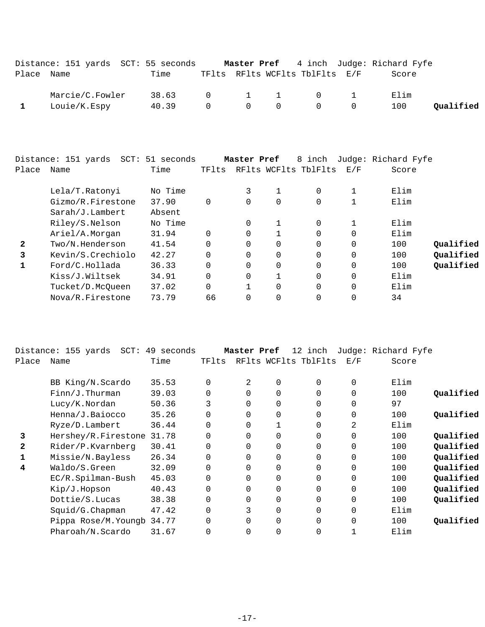|            | Distance: 151 yards SCT: 55 seconds |             |          |                                 |                                              | Master Pref 4 inch Judge: Richard Fyfe |           |
|------------|-------------------------------------|-------------|----------|---------------------------------|----------------------------------------------|----------------------------------------|-----------|
| Place Name |                                     | Time        |          |                                 | TFlts RFlts WCFlts TblFlts E/F               | Score                                  |           |
|            | Marcie/C.Fowler                     | 38.63 0 1 1 |          |                                 | $\begin{array}{ccc} & & 0 & & 1 \end{array}$ | Elim                                   |           |
|            | Louie/K.Espy                        | 40.39       | $\Omega$ | $\begin{matrix}0&0\end{matrix}$ | $\begin{matrix}0&0\end{matrix}$              | 100                                    | Oualified |

| Place | Distance: 151 yards SCT: 51 seconds<br>Name | Time    | TFlts    | Master Pref |          | 8 inch<br>RFlts WCFlts TblFlts | E/F         | Judge: Richard Fyfe<br>Score |           |
|-------|---------------------------------------------|---------|----------|-------------|----------|--------------------------------|-------------|------------------------------|-----------|
|       | Lela/T.Ratonyi                              | No Time |          | 3           |          | $\Omega$                       | 1           | Elim                         |           |
|       | Gizmo/R.Firestone                           | 37.90   | $\Omega$ |             | 0        | $\Omega$                       | $\mathbf 1$ | Elim                         |           |
|       | Sarah/J.Lambert                             | Absent  |          |             |          |                                |             |                              |           |
|       | Riley/S.Nelson                              | No Time |          |             |          | $\Omega$                       | 1           | Elim                         |           |
|       | Ariel/A.Morgan                              | 31.94   | $\Omega$ |             |          | $\Omega$                       | $\Omega$    | Elim                         |           |
| 2     | Two/N.Henderson                             | 41.54   | $\Omega$ |             | $\Omega$ | $\Omega$                       | $\mathbf 0$ | 100                          | Oualified |
| 3     | Kevin/S.Crechiolo                           | 42.27   | $\Omega$ |             | 0        | $\Omega$                       | $\Omega$    | 100                          | Qualified |
| 1     | Ford/C.Hollada                              | 36.33   | $\Omega$ | $\Omega$    | $\Omega$ | $\Omega$                       | $\Omega$    | 100                          | Qualified |
|       | Kiss/J.Wiltsek                              | 34.91   | $\Omega$ |             | 1        | $\Omega$                       | 0           | Elim                         |           |
|       | Tucket/D.McOueen                            | 37.02   | $\Omega$ |             | 0        | $\Omega$                       | $\Omega$    | Elim                         |           |
|       | Nova/R.Firestone                            | 73.79   | 66       |             | 0        | 0                              | $\Omega$    | 34                           |           |
|       |                                             |         |          |             |          |                                |             |                              |           |

|              | $SCT$ :<br>Distance: 155 yards | 49 seconds |          | Master Pref |   | 12 inch              |             | Judge: Richard Fyfe |           |
|--------------|--------------------------------|------------|----------|-------------|---|----------------------|-------------|---------------------|-----------|
| Place        | Name                           | Time       | TFlts    |             |   | RFlts WCFlts TblFlts | E/F         | Score               |           |
|              | BB King/N.Scardo               | 35.53      | 0        | 2           | 0 | 0                    | $\mathbf 0$ | Elim                |           |
|              | Finn/J. Thurman                | 39.03      | 0        | 0           | 0 | 0                    | $\mathbf 0$ | 100                 | Qualified |
|              | Lucy/K.Nordan                  | 50.36      | 3        | $\Omega$    | 0 | 0                    | $\mathbf 0$ | 97                  |           |
|              | Henna/J.Baiocco                | 35.26      | 0        | 0           | 0 | 0                    | $\mathbf 0$ | 100                 | Qualified |
|              | Ryze/D.Lambert                 | 36.44      | 0        | $\Omega$    |   | 0                    | 2           | Elim                |           |
| 3            | Hershey/R.Firestone            | 31.78      | 0        | $\Omega$    | 0 | 0                    | $\mathbf 0$ | 100                 | Qualified |
| $\mathbf{2}$ | Rider/P.Kvarnberg              | 30.41      | 0        | $\Omega$    | 0 | 0                    | $\mathbf 0$ | 100                 | Qualified |
|              | Missie/N.Bayless               | 26.34      |          | 0           | 0 | 0                    | $\mathbf 0$ | 100                 | Qualified |
| 4            | Waldo/S.Green                  | 32.09      | $\Omega$ | 0           | 0 | 0                    | $\mathbf 0$ | 100                 | Qualified |
|              | EC/R.Spilman-Bush              | 45.03      | 0        | $\Omega$    | 0 | 0                    | $\mathbf 0$ | 100                 | Qualified |
|              | Kip/J.Hopson                   | 40.43      | 0        | $\Omega$    | 0 | 0                    | $\mathbf 0$ | 100                 | Qualified |
|              | Dottie/S.Lucas                 | 38.38      | 0        | 0           | 0 | 0                    | $\mathbf 0$ | 100                 | Qualified |
|              | $Squid/G.C$ hapman             | 47.42      | 0        |             | 0 | 0                    | $\mathbf 0$ | Elim                |           |
|              | Pippa Rose/M. Youngb 34.77     |            |          | 0           | 0 | 0                    | $\Omega$    | 100                 | Qualified |
|              | Pharoah/N.Scardo               | 31.67      | 0        | 0           | 0 | 0                    |             | Elim                |           |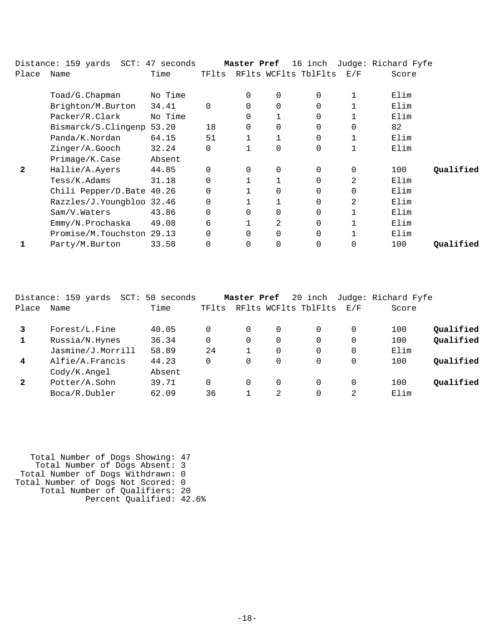|              | Distance: 159 yards  SCT: 47 seconds |         |          | Master Pref |                | 16 inch              |              | Judge: Richard Fyfe |           |
|--------------|--------------------------------------|---------|----------|-------------|----------------|----------------------|--------------|---------------------|-----------|
| Place        | Name                                 | Time    | TFlts    |             |                | RFlts WCFlts TblFlts | E/F          | Score               |           |
|              | Toad/G.Chapman                       | No Time |          | 0           | $\mathbf 0$    | $\Omega$             | 1            | Elim                |           |
|              | Brighton/M.Burton                    | 34.41   | $\Omega$ | 0           | $\mathbf 0$    | $\Omega$             |              | Elim                |           |
|              | Packer/R.Clark                       | No Time |          |             |                | 0                    |              | Elim                |           |
|              | Bismarck/S.Clingenp                  | 53.20   | 18       | $\Omega$    | $\Omega$       | $\Omega$             | $\Omega$     | 82                  |           |
|              | Panda/K.Nordan                       | 64.15   | 51       |             |                | $\Omega$             | $\mathbf{1}$ | Elim                |           |
|              | Zinger/A.Gooch                       | 32.24   | $\Omega$ |             | $\mathbf 0$    | $\Omega$             | 1            | Elim                |           |
|              | Primage/K.Case                       | Absent  |          |             |                |                      |              |                     |           |
| $\mathbf{2}$ | Hallie/A.Ayers                       | 44.85   | $\Omega$ | 0           | $\overline{0}$ | 0                    | $\mathbf 0$  | 100                 | Qualified |
|              | Tess/K.Adams                         | 31.18   | 0        |             |                | $\Omega$             | 2            | Elim                |           |
|              | Chili Pepper/D.Bate 40.26            |         | $\Omega$ |             | $\Omega$       | $\Omega$             | $\Omega$     | Elim                |           |
|              | Razzles/J.Youngbloo 32.46            |         | 0        |             |                | $\Omega$             | 2            | Elim                |           |
|              | Sam/V.Waters                         | 43.86   | 0        |             | $\mathbf 0$    | 0                    |              | Elim                |           |
|              | Emmy/N.Prochaska                     | 49.08   | 6        |             | 2              | $\Omega$             |              | Elim                |           |
|              | Promise/M.Touchston 29.13            |         | $\Omega$ |             | $\mathbf 0$    | $\Omega$             |              | Elim                |           |
|              | Party/M.Burton                       | 33.58   | 0        | 0           | 0              | $\Omega$             |              | 100                 | Oualified |

| Distance: 159 yards<br>SCT: | 50 seconds |          |          |          |             |                |                      |                     |
|-----------------------------|------------|----------|----------|----------|-------------|----------------|----------------------|---------------------|
| Name                        | Time       | TFlts    |          |          |             | E/F            | Score                |                     |
| Forest/L.Fine               | 40.05      | $\Omega$ | $\Omega$ | $\Omega$ | 0           | 0              | 100                  | Qualified           |
| Russia/N.Hynes              | 36.34      | $\Omega$ | $\Omega$ | 0        | 0           | 0              | 100                  | Oualified           |
| Jasmine/J.Morrill           | 58.89      | 24       |          | 0        | $\Omega$    | 0              | Elim                 |                     |
| Alfie/A.Francis             | 44.23      | $\Omega$ | $\Omega$ |          | $\Omega$    | 0              | 100                  | Oualified           |
| $\text{Cody/K}$ . Angel     | Absent     |          |          |          |             |                |                      |                     |
| Potter/A.Sohn               | 39.71      | 0        | $\Omega$ | 0        | 0           | 0              | 100                  | Oualified           |
| Boca/R.Dubler               | 62.09      | 36       |          | 2.       | $\Omega$    | $\mathfrak{D}$ | Elim                 |                     |
|                             |            |          |          |          | Master Pref | 20 inch        | RFlts WCFlts TblFlts | Judge: Richard Fyfe |

 Total Number of Dogs Showing: 47 Total Number of Dogs Absent: 3 Total Number of Dogs Withdrawn: 0 Total Number of Dogs Not Scored: 0 Total Number of Qualifiers: 20 Percent Qualified: 42.6%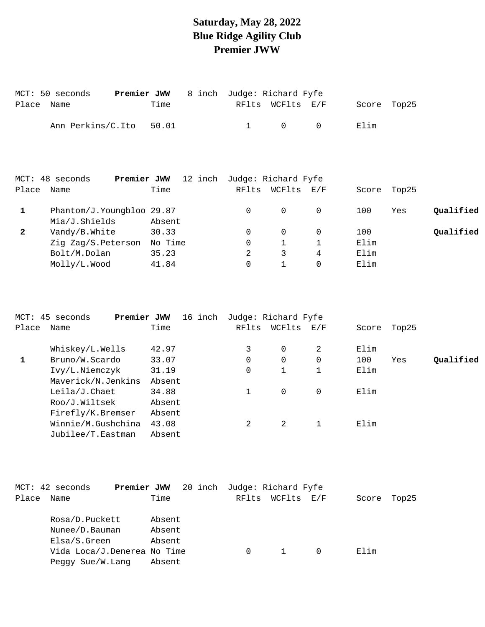#### **Saturday, May 28, 2022 Blue Ridge Agility Club Premier JWW**

|            | MCT: 50 seconds         | <b>Premier JWW</b> 8 inch Judge: Richard Fyfe |  |                                     |           |             |  |
|------------|-------------------------|-----------------------------------------------|--|-------------------------------------|-----------|-------------|--|
| Place Name |                         | Time                                          |  | RFlts WCFlts E/F                    |           | Score Top25 |  |
|            | Ann Perkins/C.Ito 50.01 |                                               |  | $\begin{matrix} 1 & 0 \end{matrix}$ | $\bigcap$ | F. lim      |  |

|              | MCT: 48 seconds<br>Premier JWW | 12 inch | Judge: Richard Fyfe |          |          |       |       |           |
|--------------|--------------------------------|---------|---------------------|----------|----------|-------|-------|-----------|
| Place        | Name                           | Time    | RFlts               | WCFlts   | E/F      | Score | Top25 |           |
|              | Phantom/J.Youngbloo 29.87      |         | 0                   | $\Omega$ | $\Omega$ | 100   | Yes   | Qualified |
|              | Mia/J.Shields                  | Absent  |                     |          |          |       |       |           |
| $\mathbf{2}$ | Vandy/B.White                  | 30.33   | 0                   | $\Omega$ |          | 100   |       | Qualified |
|              | Zig Zag/S.Peterson             | No Time | 0                   |          |          | Elim  |       |           |
|              | Bolt/M.Dolan                   | 35.23   |                     | 3        | 4        | Elim  |       |           |
|              | Molly/L.Wood                   | 41.84   | 0                   |          | $\Omega$ | Elim  |       |           |
|              |                                |         |                     |          |          |       |       |           |

|       | MCT: 45 seconds<br>Premier JWW | 16 inch | Judge: Richard Fyfe |             |             |       |       |           |
|-------|--------------------------------|---------|---------------------|-------------|-------------|-------|-------|-----------|
| Place | Name                           | Time    | RFlts               | WCFlts      | $\rm E$ / F | Score | Top25 |           |
|       | Whiskey/L.Wells                | 42.97   | 3                   | $\Omega$    | 2           | Elim  |       |           |
| 1     | Bruno/W.Scardo                 | 33.07   | 0                   | $\Omega$    | 0           | 100   | Yes   | Qualified |
|       | Ivy/L.Niemczyk                 | 31.19   | 0                   |             |             | Elim  |       |           |
|       | Maverick/N.Jenkins             | Absent  |                     |             |             |       |       |           |
|       | Leila/J.Chaet                  | 34.88   |                     | $\mathbf 0$ | 0           | Elim  |       |           |
|       | Roo/J.Wiltsek                  | Absent  |                     |             |             |       |       |           |
|       | Firefly/K.Bremser              | Absent  |                     |             |             |       |       |           |
|       | Winnie/M.Gushchina             | 43.08   | 2                   | 2           |             | Elim  |       |           |
|       | Jubilee/T.Eastman              | Absent  |                     |             |             |       |       |           |

| MCT: 42 seconds |                             |        |  | <b>Premier JWW</b> 20 inch Judge: Richard Fyfe |                  |  |       |       |
|-----------------|-----------------------------|--------|--|------------------------------------------------|------------------|--|-------|-------|
| Place Name      |                             | Time   |  |                                                | RFlts WCFlts E/F |  | Score | Top25 |
|                 | Rosa/D.Puckett              | Absent |  |                                                |                  |  |       |       |
|                 | Nunee/D.Bauman              | Absent |  |                                                |                  |  |       |       |
|                 | Elsa/S.Green                | Absent |  |                                                |                  |  |       |       |
|                 | Vida Loca/J.Denerea No Time |        |  | $\Omega$                                       | 1                |  | Elim  |       |
|                 | Peggy Sue/W.Lang            | Absent |  |                                                |                  |  |       |       |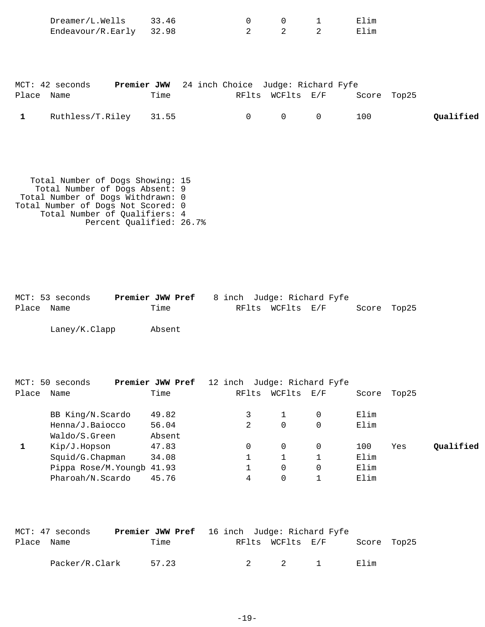| Dreamer/L.Wells<br>Endeavour/R.Early | 33.46<br>32.98 | $\overline{0}$<br>2                            | $\overline{2}$   | $0 \qquad \qquad 1$<br>2 | Elim<br>Elim |  |
|--------------------------------------|----------------|------------------------------------------------|------------------|--------------------------|--------------|--|
| MCT: 42 seconds                      |                | Premier JWW 24 inch Choice Judge: Richard Fyfe |                  |                          |              |  |
| Place Name                           | Time           |                                                | RFlts WCFlts E/F |                          | Score Top25  |  |

|  |  | Ruthless/T.Riley 31.55 |  |  |  |  |  | Qualified |
|--|--|------------------------|--|--|--|--|--|-----------|
|--|--|------------------------|--|--|--|--|--|-----------|

 Total Number of Dogs Showing: 15 Total Number of Dogs Absent: 9 Total Number of Dogs Withdrawn: 0 Total Number of Dogs Not Scored: 0 Total Number of Qualifiers: 4 Percent Qualified: 26.7%

|            | MCT: 53 seconds | <b>Premier JWW Pref</b> 8 inch Judge: Richard Fyfe |  |                  |  |             |  |
|------------|-----------------|----------------------------------------------------|--|------------------|--|-------------|--|
| Place Name |                 | Time                                               |  | RFlts WCFlts E/F |  | Score Top25 |  |
|            |                 |                                                    |  |                  |  |             |  |

Laney/K.Clapp Absent

|       | MCT: 50 seconds            | Premier JWW Pref | 12 inch Judge: Richard Fyfe |        |                   |       |       |           |
|-------|----------------------------|------------------|-----------------------------|--------|-------------------|-------|-------|-----------|
| Place | Name                       | Time             | RFlts                       | WCFlts | $\rm E$ / $\rm F$ | Score | Top25 |           |
|       | BB King/N.Scardo           | 49.82            |                             |        |                   | Elim  |       |           |
|       | Henna/J.Baiocco            | 56.04            | 2                           | 0      |                   | Elim  |       |           |
|       | Waldo/S.Green              | Absent           |                             |        |                   |       |       |           |
|       | Kip/J.Hopson               | 47.83            | 0                           | 0      | $\Omega$          | 100   | Yes   | Oualified |
|       | Squid/G.Chapman            | 34.08            |                             |        |                   | Elim  |       |           |
|       | Pippa Rose/M. Youngb 41.93 |                  |                             | 0      |                   | Elim  |       |           |
|       | Pharoah/N.Scardo           | 45.76            | 4                           | 0      |                   | Elim  |       |           |

|            | MCT: 47 seconds |       | <b>Premier JWW Pref</b> 16 inch Judge: Richard Fyfe |  |                  |  |             |  |
|------------|-----------------|-------|-----------------------------------------------------|--|------------------|--|-------------|--|
| Place Name |                 | Time  |                                                     |  | RFlts WCFlts E/F |  | Score Top25 |  |
|            | Packer/R.Clark  | 57.23 |                                                     |  | 2 2 1            |  | Elim        |  |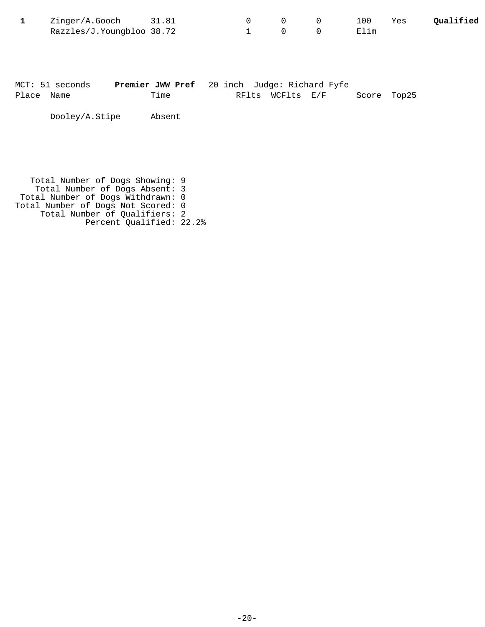| Zinger/A.Gooch 31.81      |  |  | 100  | Yes | Qualified |
|---------------------------|--|--|------|-----|-----------|
| Razzles/J.Youngbloo 38.72 |  |  | Elim |     |           |

|            | MCT: 51 seconds | <b>Premier JWW Pref</b> 20 inch Judge: Richard Fyfe |  |                  |             |  |
|------------|-----------------|-----------------------------------------------------|--|------------------|-------------|--|
| Place Name |                 | Time                                                |  | RFlts WCFlts E/F | Score Top25 |  |
|            |                 |                                                     |  |                  |             |  |

Dooley/A.Stipe Absent

 Total Number of Dogs Showing: 9 Total Number of Dogs Absent: 3 Total Number of Dogs Withdrawn: 0 Total Number of Dogs Not Scored: 0 Total Number of Qualifiers: 2 Percent Qualified: 22.2%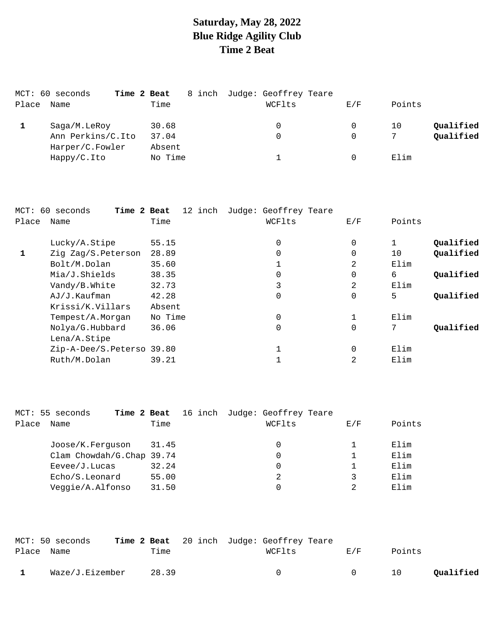# **Saturday, May 28, 2022 Blue Ridge Agility Club Time 2 Beat**

|       | MCT: 60 seconds<br>Time 2 Beat       |                 | 8 inch Judge: Geoffrey Teare |     |                 |
|-------|--------------------------------------|-----------------|------------------------------|-----|-----------------|
| Place | Name                                 | Time            | WCFlts                       | E/F | Points          |
|       | Saga/M.LeRoy                         | 30.68           | 0                            |     | Qualified<br>10 |
|       | Ann Perkins/C.Ito<br>Harper/C.Fowler | 37.04<br>Absent | 0                            |     | Qualified       |
|       | $Happy/C.$ Ito                       | No Time         |                              |     | Elim            |

|       | MCT: 60 seconds<br>Time 2 Beat | 12 inch | Judge: Geoffrey Teare |          |              |           |
|-------|--------------------------------|---------|-----------------------|----------|--------------|-----------|
| Place | Name                           | Time    | WCFlts                | E/F      | Points       |           |
|       | Lucky/A.Stipe                  | 55.15   | $\Omega$              | $\Omega$ | $\mathbf{1}$ | Qualified |
|       | Zig Zag/S.Peterson             | 28.89   | $\overline{0}$        | $\Omega$ | 10           | Qualified |
|       | Bolt/M.Dolan                   | 35.60   | 1                     | 2        | Elim         |           |
|       | Mia/J.Shields                  | 38.35   | 0                     | 0        | 6            | Qualified |
|       | Vandy/B.White                  | 32.73   | 3                     | 2        | Elim         |           |
|       | AJ/J.Kaufman                   | 42.28   | $\mathbf 0$           | 0        | 5            | Qualified |
|       | Krissi/K.Villars               | Absent  |                       |          |              |           |
|       | Tempest/A.Morgan               | No Time | $\overline{0}$        | 1        | Elim         |           |
|       | Nolya/G.Hubbard                | 36.06   | $\overline{0}$        | 0        | 7            | Oualified |
|       | $Lena/A.$ Stipe                |         |                       |          |              |           |
|       | Zip-A-Dee/S.Peterso 39.80      |         | 1                     | 0        | Elim         |           |
|       | Ruth/M.Dolan                   | 39.21   | 1                     | 2        | Elim         |           |
|       |                                |         |                       |          |              |           |

|       | MCT: 55 seconds<br>Time 2 Beat |       | 16 inch Judge: Geoffrey Teare |     |        |
|-------|--------------------------------|-------|-------------------------------|-----|--------|
| Place | Name                           | Time  | WCFlts                        | E/F | Points |
|       |                                |       |                               |     |        |
|       | Joose/K.Ferquson               | 31.45 | 0                             |     | Elim   |
|       | Clam Chowdah/G.Chap 39.74      |       | $\Omega$                      |     | Elim   |
|       | $E$ evee/J. Lucas              | 32.24 | 0                             |     | Elim   |
|       | Echo/S.Leonard                 | 55.00 | 2                             |     | Elim   |
|       | Veggie/A.Alfonso               | 31.50 |                               |     | Elim   |

|            | MCT: 50 seconds |       | <b>Time 2 Beat</b> 20 inch Judge: Geoffrey Teare |        |        |           |
|------------|-----------------|-------|--------------------------------------------------|--------|--------|-----------|
| Place Name |                 | Time  | WCFlts                                           | E/F    | Points |           |
|            | Waze/J.Eizember | 28.39 | $\Omega$                                         | $\cap$ | 10     | Oualified |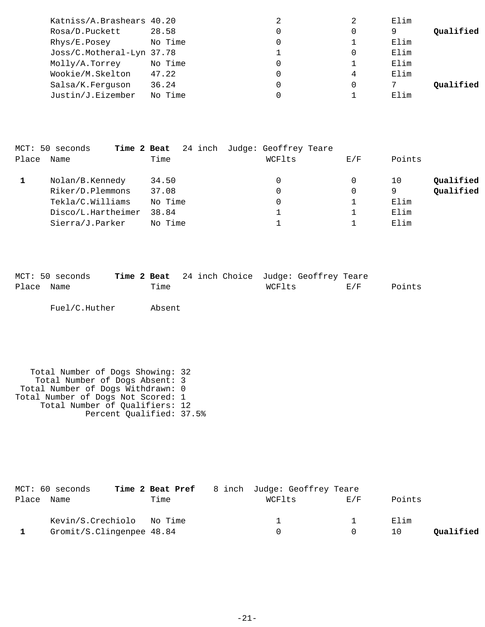| Katniss/A.Brashears 40.20 |         |   |   | Elim |           |
|---------------------------|---------|---|---|------|-----------|
| Rosa/D.Puckett            | 28.58   |   |   | 9    | Qualified |
| Rhys/E.Posey              | No Time | 0 |   | Elim |           |
| Joss/C.Motheral-Lyn 37.78 |         |   |   | Elim |           |
| Molly/A.Torrey            | No Time | 0 |   | Elim |           |
| Wookie/M.Skelton          | 47.22   | 0 | 4 | Elim |           |
| Salsa/K.Ferquson          | 36.24   |   |   |      | Qualified |
| Justin/J.Eizember         | No Time |   |   | Elim |           |
|                           |         |   |   |      |           |

|       | MCT: 50 seconds<br>Time 2 Beat |         | 24 inch Judge: Geoffrey Teare |     |                 |
|-------|--------------------------------|---------|-------------------------------|-----|-----------------|
| Place | Name                           | Time    | WCFlts                        | E/F | Points          |
|       | Nolan/B.Kennedy                | 34.50   | 0                             | 0   | Qualified<br>10 |
|       | Riker/D.Plemmons               | 37.08   | 0                             | 0   | Qualified<br>9  |
|       | Tekla/C.Williams               | No Time | 0                             |     | Elim            |
|       | Disco/L.Hartheimer             | 38.84   |                               |     | Elim            |
|       | Sierra/J.Parker                | No Time |                               |     | Elim            |

|            | MCT: 50 seconds |      |  |        | Time 2 Beat 24 inch Choice Judge: Geoffrey Teare |        |        |
|------------|-----------------|------|--|--------|--------------------------------------------------|--------|--------|
| Place Name |                 | Time |  | WCFlts |                                                  | F. / F | Points |
|            |                 |      |  |        |                                                  |        |        |

Fuel/C.Huther Absent

```
 Total Number of Dogs Showing: 32
 Total Number of Dogs Absent: 3
 Total Number of Dogs Withdrawn: 0
Total Number of Dogs Not Scored: 1
 Total Number of Qualifiers: 12
 Percent Qualified: 37.5%
```

| MCT: 60 seconds            |      | <b>Time 2 Beat Pref</b> 8 inch Judge: Geoffrey Teare |     |        |           |
|----------------------------|------|------------------------------------------------------|-----|--------|-----------|
| Place Name                 | Time | WCFlts                                               | E/F | Points |           |
| Kevin/S. Crechiolo No Time |      |                                                      |     | Elim   |           |
| Gromit/S.Clingenpee 48.84  |      |                                                      |     | 10     | Oualified |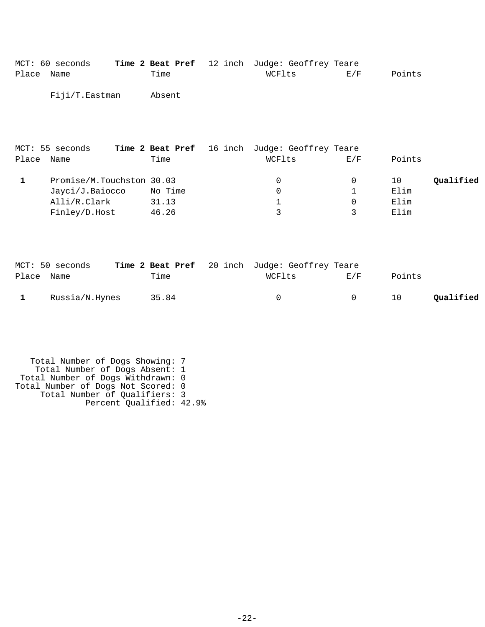|            | MCT: 60 seconds |        | <b>Time 2 Beat Pref</b> 12 inch Judge: Geoffrey Teare |     |        |
|------------|-----------------|--------|-------------------------------------------------------|-----|--------|
| Place Name |                 | Time   | WCFlts                                                | E/F | Points |
|            | Fiji/T.Eastman  | Absent |                                                       |     |        |

| MCT: 55 seconds |       |                                      |     |                                                       |           |
|-----------------|-------|--------------------------------------|-----|-------------------------------------------------------|-----------|
| Name            | Time  | WCFlts                               | E/F | Points                                                |           |
|                 |       | $\Omega$                             |     | 10                                                    | Qualified |
| Jayci/J.Baiocco |       | $\Omega$                             |     | Elim                                                  |           |
| Alli/R.Clark    | 31.13 |                                      |     | Elim                                                  |           |
| Finley/D.Host   | 46.26 | ς                                    |     | Elim                                                  |           |
|                 |       | Promise/M.Touchston 30.03<br>No Time |     | <b>Time 2 Beat Pref</b> 16 inch Judge: Geoffrey Teare |           |

|            | MCT: 50 seconds | Time 2 Beat Pref 20 inch Judge: Geoffrey Teare |        |        |        |           |
|------------|-----------------|------------------------------------------------|--------|--------|--------|-----------|
| Place Name |                 | Time                                           | WCFlts | E/F    | Points |           |
|            | Russia/N.Hynes  | 35.84                                          | $\cap$ | $\cap$ | 10     | Oualified |

```
 Total Number of Dogs Showing: 7
 Total Number of Dogs Absent: 1
 Total Number of Dogs Withdrawn: 0
Total Number of Dogs Not Scored: 0
 Total Number of Qualifiers: 3
              Percent Qualified: 42.9%
```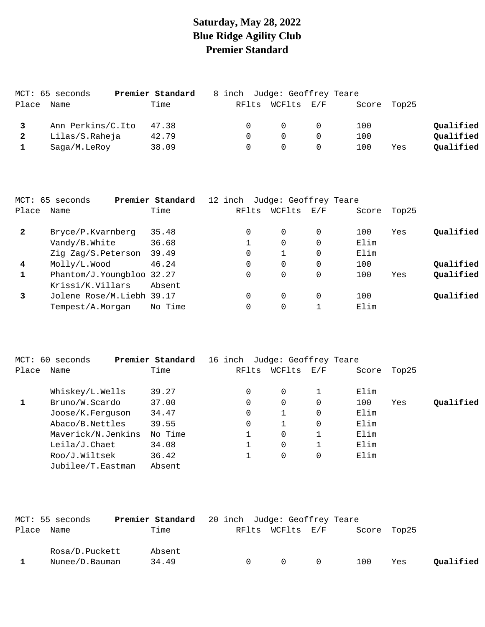## **Saturday, May 28, 2022 Blue Ridge Agility Club Premier Standard**

|       | MCT: 65 seconds   | Premier Standard | 8 inch Judge: Geoffrey Teare |            |             |     |           |
|-------|-------------------|------------------|------------------------------|------------|-------------|-----|-----------|
| Place | Name              | Time             | RFlts                        | WCFlts E/F | Score Top25 |     |           |
|       | Ann Perkins/C.Ito | 47.38            | $\Omega$                     | $\Omega$   | 100         |     | Qualified |
|       | Lilas/S.Raheja    | 42.79            | $\Omega$                     | $\Omega$   | 100         |     | Qualified |
|       | Saga/M.LeRoy      | 38.09            |                              | $\Omega$   | 100         | Yes | Qualified |

|              | MCT: 65 seconds           | Premier Standard | 12 inch Judge: Geoffrey Teare |        |          |       |       |           |
|--------------|---------------------------|------------------|-------------------------------|--------|----------|-------|-------|-----------|
| Place        | Name                      | Time             | RFlts                         | WCFlts | E/F      | Score | Top25 |           |
| $\mathbf{2}$ | Bryce/P.Kvarnberg         | 35.48            | 0                             | 0      | $\Omega$ | 100   | Yes   | Qualified |
|              | Vandy/B.White             | 36.68            |                               | 0      | 0        | Elim  |       |           |
|              | Zig Zag/S.Peterson        | 39.49            | 0                             |        | 0        | Elim  |       |           |
| 4            | Molly/L.Wood              | 46.24            | 0                             | 0      | 0        | 100   |       | Qualified |
|              | Phantom/J.Youngbloo 32.27 |                  |                               | 0      | 0        | 100   | Yes   | Qualified |
|              | Krissi/K.Villars          | Absent           |                               |        |          |       |       |           |
| 3            | Jolene Rose/M.Liebh 39.17 |                  | 0                             | 0      | 0        | 100   |       | Qualified |
|              | Tempest/A.Morgan          | No Time          |                               | 0      |          | Elim  |       |           |

|       | MCT: 60 seconds    | Premier Standard | 16 inch | Judge: Geoffrey Teare |                                                           |       |       |           |
|-------|--------------------|------------------|---------|-----------------------|-----------------------------------------------------------|-------|-------|-----------|
| Place | Name               | Time             | RFlts   | WCFlts                | $\mathop{\rm E{}}\nolimits$ / $\mathop{\rm F{}}\nolimits$ | Score | Top25 |           |
|       | Whiskey/L.Wells    | 39.27            | 0       | 0                     |                                                           | Elim  |       |           |
|       | Bruno/W.Scardo     | 37.00            | 0       | 0                     | 0                                                         | 100   | Yes   | Qualified |
|       | Joose/K.Ferquson   | 34.47            | 0       |                       | 0                                                         | Elim  |       |           |
|       | Abaco/B.Nettles    | 39.55            | 0       |                       | 0                                                         | Elim  |       |           |
|       | Maverick/N.Jenkins | No Time          |         | 0                     |                                                           | Elim  |       |           |
|       | Leila/J.Chaet      | 34.08            |         | 0                     |                                                           | Elim  |       |           |
|       | Roo/J.Wiltsek      | 36.42            |         | 0                     | 0                                                         | Elim  |       |           |
|       | Jubilee/T.Eastman  | Absent           |         |                       |                                                           |       |       |           |

|            | MCT: 55 seconds | <b>Premier Standard</b> 20 inch Judge: Geoffrey Teare |                  |                   |             |     |           |
|------------|-----------------|-------------------------------------------------------|------------------|-------------------|-------------|-----|-----------|
| Place Name |                 | Time                                                  | RFlts WCFlts E/F |                   | Score Top25 |     |           |
|            | Rosa/D.Puckett  | Absent                                                |                  |                   |             |     |           |
|            | Nunee/D.Bauman  | 34.49                                                 | $\cap$           | $\Omega$ $\Omega$ | 100         | Yes | Oualified |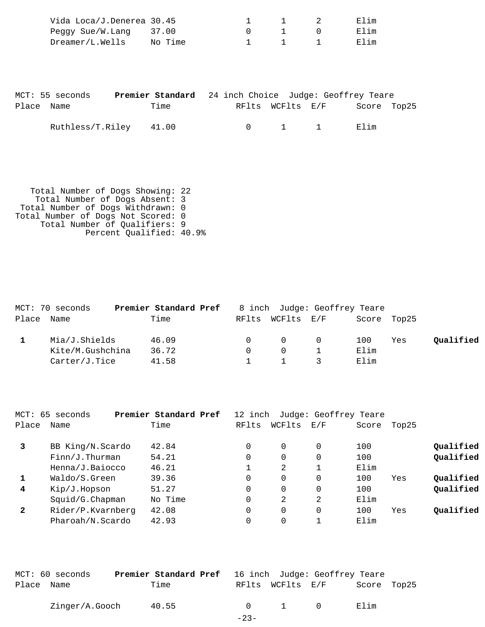| Vida Loca/J.Denerea 30.45 |  |  | Elim |
|---------------------------|--|--|------|
| Peggy $Sue/W.Lanq$ 37.00  |  |  | Elim |
| Dreamer/L.Wells No Time   |  |  | Flim |

|            | MCT: 55 seconds        |      |  |                       | <b>Premier Standard</b> 24 inch Choice Judge: Geoffrey Teare |             |
|------------|------------------------|------|--|-----------------------|--------------------------------------------------------------|-------------|
| Place Name |                        | Time |  | RFlts WCFlts E/F      |                                                              | Score Top25 |
|            | Ruthless/T.Riley 41.00 |      |  | $0 \qquad 1 \qquad 1$ | Elim                                                         |             |

 Total Number of Dogs Showing: 22 Total Number of Dogs Absent: 3 Total Number of Dogs Withdrawn: 0 Total Number of Dogs Not Scored: 0 Total Number of Qualifiers: 9 Percent Qualified: 40.9%

| MCT: 70 seconds  | Premier Standard Pref |          |                  |                | 8 inch Judge: Geoffrey Teare |     |           |
|------------------|-----------------------|----------|------------------|----------------|------------------------------|-----|-----------|
| Place Name       | Time                  |          | RFlts WCFlts E/F |                | Score Top25                  |     |           |
| Mia/J.Shields    | 46.09                 | $\Omega$ | $\Omega$         | $\overline{0}$ | 100                          | Yes | Qualified |
| Kite/M.Gushchina | 36.72                 |          | $\cap$           |                | Elim                         |     |           |
| Carter/J.Tice    | 41.58                 |          |                  |                | Elim                         |     |           |

| MCT: 65      | seconds            | Premier Standard Pref | 12 inch |          | Judge: Geoffrey Teare |       |       |           |
|--------------|--------------------|-----------------------|---------|----------|-----------------------|-------|-------|-----------|
| Place        | Name               | Time                  | RFlts   | WCFlts   | E/F                   | Score | Top25 |           |
| 3            | BB King/N.Scardo   | 42.84                 | 0       | $\Omega$ | 0                     | 100   |       | Qualified |
|              | $Finn/J$ . Thurman | 54.21                 | 0       | 0        | 0                     | 100   |       | Qualified |
|              | Henna/J.Baiocco    | 46.21                 |         | 2        |                       | Elim  |       |           |
| 1            | Waldo/S.Green      | 39.36                 | 0       | 0        | 0                     | 100   | Yes   | Qualified |
| 4            | Kip/J.Hopson       | 51.27                 | 0       | $\Omega$ | $\Omega$              | 100   |       | Qualified |
|              | Squid/G.Chapman    | No Time               | 0       | 2        | 2                     | Elim  |       |           |
| $\mathbf{2}$ | Rider/P.Kvarnberg  | 42.08                 | 0       | $\Omega$ | $\Omega$              | 100   | Yes   | Qualified |
|              | Pharoah/N.Scardo   | 42.93                 |         | 0        |                       | Elim  |       |           |

|            | MCT: 60 seconds | <b>Premier Standard Pref</b> 16 inch Judge: Geoffrey Teare |        |                       |             |  |
|------------|-----------------|------------------------------------------------------------|--------|-----------------------|-------------|--|
| Place Name |                 | Time                                                       |        | RFlts WCFlts E/F      | Score Top25 |  |
|            | Zinger/A.Gooch  | 40.55                                                      |        | $0 \qquad 1 \qquad 0$ | Elim        |  |
|            |                 |                                                            | $-23-$ |                       |             |  |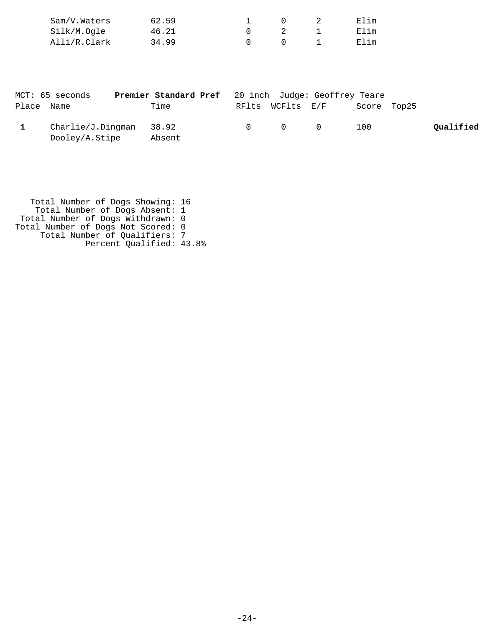| Sam/V.Waters | 62.59 |  | Elim |
|--------------|-------|--|------|
| Silk/M.Ogle  | 46.21 |  | Elim |
| Alli/R.Clark | 34.99 |  | Elim |

|            | MCT: 65 seconds                             | <b>Premier Standard Pref</b> 20 inch Judge: Geoffrey Teare |                                         |             |           |
|------------|---------------------------------------------|------------------------------------------------------------|-----------------------------------------|-------------|-----------|
| Place Name |                                             | Time                                                       | RFlts WCFlts E/F                        | Score Top25 |           |
|            | $Charlie/J.Dingman$ 38.92<br>Dooley/A.Stipe | Absent                                                     | $\begin{matrix} 0 & 0 & 0 \end{matrix}$ | 100         | Qualified |

| Total Number of Dogs Showing: 16   |  |
|------------------------------------|--|
| Total Number of Dogs Absent: 1     |  |
| Total Number of Dogs Withdrawn: 0  |  |
| Total Number of Dogs Not Scored: 0 |  |
| Total Number of Qualifiers: 7      |  |
| Percent Qualified: 43.8%           |  |
|                                    |  |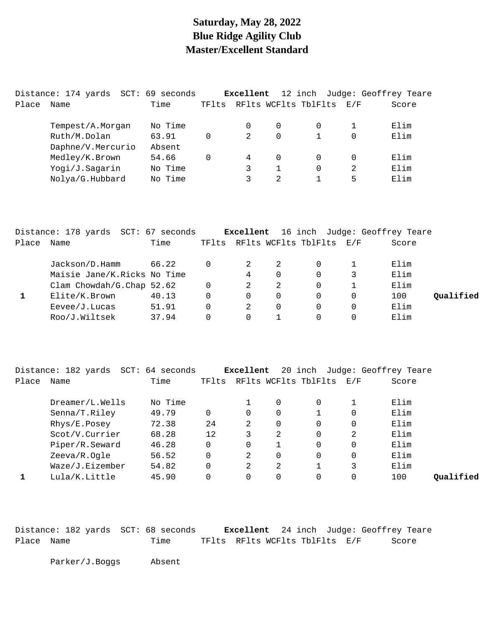### **Saturday, May 28, 2022 Blue Ridge Agility Club Master/Excellent Standard**

|       | Distance: 174 yards | SCT: | 69 seconds |       | Excellent      |          | 12 inch              |          | Judge: Geoffrey Teare |
|-------|---------------------|------|------------|-------|----------------|----------|----------------------|----------|-----------------------|
| Place | Name                |      | Time       | TFlts |                |          | RFlts WCFlts TblFlts | E/F      | Score                 |
|       | Tempest/A.Morgan    |      | No Time    |       | 0              | $\Omega$ | 0                    |          | Elim                  |
|       | Ruth/M.Dolan        |      | 63.91      | 0     | 2              | $\Omega$ |                      | $\Omega$ | Elim                  |
|       | Daphne/V.Mercurio   |      | Absent     |       |                |          |                      |          |                       |
|       | Medley/K.Brown      |      | 54.66      | 0     | $\overline{4}$ | $\Omega$ | 0                    | 0        | Elim                  |
|       | Yogi/J.Sagarin      |      | No Time    |       | 3              |          | 0                    | 2        | Elim                  |
|       | Nolya/G.Hubbard     |      | No Time    |       | 3              | 2        |                      | 5        | Elim                  |

|       | Distance: 178 yards SCT: 67 seconds |       |       |          |          |                          | <b>Excellent</b> 16 inch Judge: Geoffrey Teare |           |
|-------|-------------------------------------|-------|-------|----------|----------|--------------------------|------------------------------------------------|-----------|
| Place | Name                                | Time  | TFlts |          |          | RFlts WCFlts TblFlts E/F | Score                                          |           |
|       | Jackson/D.Hamm                      | 66.22 | 0     |          |          |                          | Elim                                           |           |
|       | Maisie Jane/K.Ricks No Time         |       |       | 4        | $\Omega$ | 0                        | Elim                                           |           |
|       | Clam Chowdah/G.Chap 52.62           |       | 0     | 2        | 2        | 0                        | Elim                                           |           |
|       | Elite/K.Brown                       | 40.13 | 0     | $\Omega$ |          | 0                        | 100                                            | Oualified |
|       | Eevee/J.Lucas                       | 51.91 | 0     | 2        | $\Omega$ | 0                        | Elim                                           |           |
|       | Roo/J.Wiltsek                       | 37.94 | 0     | $\Omega$ |          | 0                        | Elim                                           |           |

|       | Distance: 182 yards SCT: 64 seconds |         |             | Excellent |   |                      |     | 20 inch Judge: Geoffrey Teare |           |
|-------|-------------------------------------|---------|-------------|-----------|---|----------------------|-----|-------------------------------|-----------|
| Place | Name                                | Time    | TFlts       |           |   | RFlts WCFlts TblFlts | E/F | Score                         |           |
|       | Dreamer/L.Wells                     | No Time |             |           | 0 | 0                    |     | Elim                          |           |
|       | Senna/T.Riley                       | 49.79   | $\mathbf 0$ | $\Omega$  | 0 |                      | 0   | Elim                          |           |
|       | Rhys/E.Posey                        | 72.38   | 24          | 2         | 0 | 0                    | 0   | Elim                          |           |
|       | Scot/V.Currier                      | 68.28   | 12          | 3         | 2 | 0                    | 2   | Elim                          |           |
|       | Piper/R.Seward                      | 46.28   | 0           | $\Omega$  |   | 0                    | 0   | Elim                          |           |
|       | Zeeva/R.Oqle                        | 56.52   | $\Omega$    | 2         | 0 | 0                    | 0   | Elim                          |           |
|       | Waze/J.Eizember                     | 54.82   | 0           | 2         | 2 |                      |     | Elim                          |           |
|       | Lula/K.Little                       | 45.90   | $\Omega$    | $\Omega$  | 0 | 0                    | 0   | 100                           | Oualified |

|            | Distance: 182 yards SCT: 68 seconds |                                |  | <b>Excellent</b> 24 inch Judge: Geoffrey Teare |
|------------|-------------------------------------|--------------------------------|--|------------------------------------------------|
| Place Name | Time                                | TFlts RFlts WCFlts TblFlts E/F |  | Score                                          |

Parker/J.Boggs Absent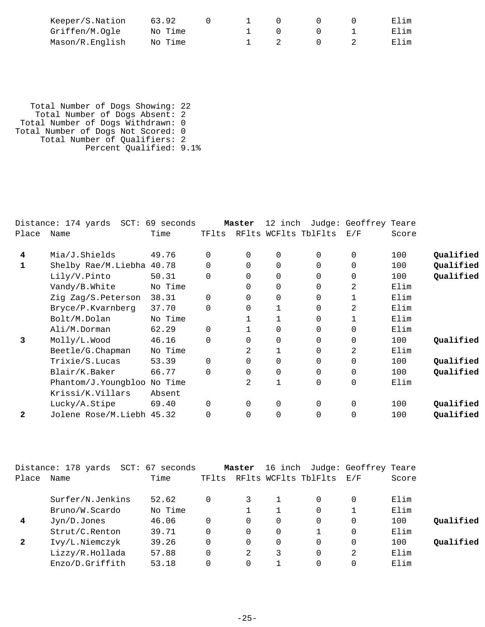| Keeper/S.Nation | 63.92   |  |  | Elim |
|-----------------|---------|--|--|------|
| Griffen/M.Ogle  | No Time |  |  | Elim |
| Mason/R.English | No Time |  |  | Elim |

 Total Number of Dogs Showing: 22 Total Number of Dogs Absent: 2 Total Number of Dogs Withdrawn: 0 Total Number of Dogs Not Scored: 0 Total Number of Qualifiers: 2 Percent Qualified: 9.1%

|              | Distance: 174 yards SCT: 69 seconds |         |          | Master         | 12 inch     |                      | Judge: Geoffrey Teare |       |           |
|--------------|-------------------------------------|---------|----------|----------------|-------------|----------------------|-----------------------|-------|-----------|
| Place        | Name                                | Time    | TFlts    |                |             | RFlts WCFlts TblFlts | E/F                   | Score |           |
| 4            | Mia/J.Shields                       | 49.76   | 0        | $\Omega$       | $\mathbf 0$ | $\Omega$             | $\Omega$              | 100   | Qualified |
|              | Shelby Rae/M.Liebha                 | 40.78   | $\Omega$ | $\Omega$       | $\Omega$    | $\Omega$             | $\Omega$              | 100   | Qualified |
|              | Lily/V.Pinto                        | 50.31   | $\Omega$ | $\Omega$       | $\Omega$    | $\Omega$             | $\Omega$              | 100   | Qualified |
|              | Vandy/B.White                       | No Time |          | 0              | $\Omega$    | $\Omega$             | 2                     | Elim  |           |
|              | Zig Zag/S.Peterson                  | 38.31   | $\Omega$ | 0              | $\Omega$    | $\Omega$             |                       | Elim  |           |
|              | Bryce/P.Kvarnberg                   | 37.70   | 0        | 0              | 1           | $\Omega$             | 2                     | Elim  |           |
|              | Bolt/M.Dolan                        | No Time |          |                | 1           | $\Omega$             |                       | Elim  |           |
|              | Ali/M.Dorman                        | 62.29   | 0        |                | $\Omega$    | $\Omega$             | $\Omega$              | Elim  |           |
| 3            | Molly/L.Wood                        | 46.16   | $\Omega$ | 0              | $\mathbf 0$ | $\Omega$             | $\Omega$              | 100   | Qualified |
|              | Beetle/G. Chapman                   | No Time |          | 2              |             | $\Omega$             | 2                     | Elim  |           |
|              | Trixie/S.Lucas                      | 53.39   | 0        | $\Omega$       | $\Omega$    | $\Omega$             | 0                     | 100   | Qualified |
|              | Blair/K.Baker                       | 66.77   | $\Omega$ | 0              | $\mathbf 0$ | $\Omega$             | $\Omega$              | 100   | Qualified |
|              | Phantom/J.Youngbloo No Time         |         |          | $\mathfrak{D}$ | 1           | $\Omega$             | 0                     | Elim  |           |
|              | Krissi/K.Villars                    | Absent  |          |                |             |                      |                       |       |           |
|              | Lucky/A.Stipe                       | 69.40   | 0        | $\Omega$       | $\mathbf 0$ | $\Omega$             | $\Omega$              | 100   | Qualified |
| $\mathbf{2}$ | Jolene Rose/M.Liebh 45.32           |         | 0        | 0              | $\Omega$    | $\Omega$             | 0                     | 100   | Qualified |
|              |                                     |         |          |                |             |                      |                       |       |           |

|                | Distance: 178 yards<br>SCT: | 67<br>seconds |          | Master | 16 inch |                      | Judge: Geoffrey Teare |       |           |
|----------------|-----------------------------|---------------|----------|--------|---------|----------------------|-----------------------|-------|-----------|
| Place          | Name                        | Time          | TFlts    |        |         | RFlts WCFlts TblFlts | E/F                   | Score |           |
|                | Surfer/N.Jenkins            | 52.62         | $\Omega$ |        |         |                      | 0                     | Elim  |           |
|                | Bruno/W.Scardo              | No Time       |          |        |         |                      |                       | Elim  |           |
| $\overline{4}$ | Jyn/D.Jones                 | 46.06         | $\Omega$ | 0      | 0       | 0                    | 0                     | 100   | Qualified |
|                | Strut/C.Renton              | 39.71         | $\Omega$ | 0      | 0       |                      | 0                     | Elim  |           |
| $\mathbf{2}$   | Ivy/L.Niemczyk              | 39.26         | $\Omega$ | 0      | 0       | 0                    | 0                     | 100   | Oualified |
|                | Lizzy/R.Hollada             | 57.88         | $\Omega$ | 2      |         |                      | 2                     | Elim  |           |
|                | Enzo/D.Griffith             | 53.18         |          |        |         |                      |                       | Elim  |           |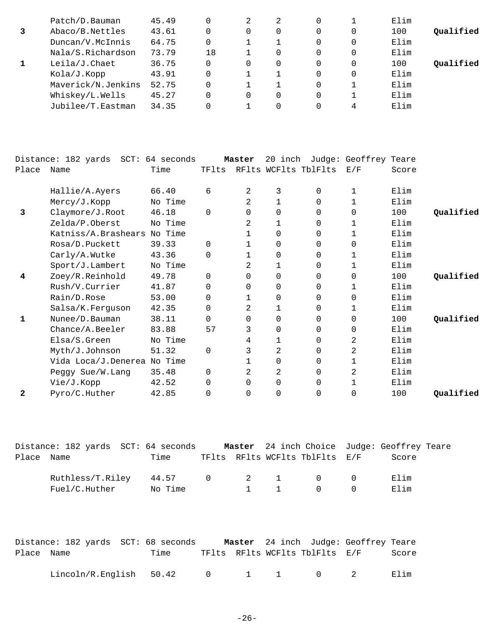| Patch/D.Bauman     | 45.49 |    | 2 | 2 |          | Elim |           |
|--------------------|-------|----|---|---|----------|------|-----------|
| Abaco/B.Nettles    | 43.61 |    | 0 | 0 | 0        | 100  | Qualified |
| Duncan/V.McInnis   | 64.75 |    |   |   | $\Omega$ | Elim |           |
| Nala/S.Richardson  | 73.79 | 18 |   | 0 | 0        | Elim |           |
| Leila/J.Chaet      | 36.75 |    | 0 | 0 | 0        | 100  | Oualified |
| Kola/J.Kopp        | 43.91 |    |   |   | $\Omega$ | Elim |           |
| Maverick/N.Jenkins | 52.75 |    |   |   |          | Elim |           |
| Whiskey/L.Wells    | 45.27 |    | 0 | 0 |          | Elim |           |
| Jubilee/T.Eastman  | 34.35 |    |   |   | 4        | Elim |           |

|              | Distance: 182 yards SCT: 64 seconds |         |          | Master   | 20 inch        |                      | Judge: Geoffrey Teare |       |           |
|--------------|-------------------------------------|---------|----------|----------|----------------|----------------------|-----------------------|-------|-----------|
| Place        | Name                                | Time    | TFlts    |          |                | RFlts WCFlts TblFlts | E/F                   | Score |           |
|              |                                     |         |          |          |                |                      |                       |       |           |
|              | Hallie/A.Ayers                      | 66.40   | 6        | 2        | 3              | 0                    | 1                     | Elim  |           |
|              | Mercy/J.Kopp                        | No Time |          | 2        |                | 0                    | 1                     | Elim  |           |
| 3            | Claymore/J.Root                     | 46.18   | $\Omega$ | 0        | $\Omega$       | 0                    | $\Omega$              | 100   | Qualified |
|              | Zelda/P.Oberst                      | No Time |          | 2        | 1              | 0                    | 1                     | Elim  |           |
|              | Katniss/A.Brashears                 | No Time |          |          | $\Omega$       | 0                    | 1                     | Elim  |           |
|              | Rosa/D.Puckett                      | 39.33   | 0        | 1        | 0              | 0                    | 0                     | Elim  |           |
|              | Carly/A.Wutke                       | 43.36   | $\Omega$ |          | $\Omega$       | 0                    | 1                     | Elim  |           |
|              | Sport/J.Lambert                     | No Time |          | 2        | 1              | $\Omega$             | 1                     | Elim  |           |
| 4            | Zoey/R.Reinhold                     | 49.78   | 0        | $\Omega$ | 0              | 0                    | 0                     | 100   | Qualified |
|              | Rush/V.Currier                      | 41.87   | 0        | 0        | $\mathbf 0$    | 0                    | 1                     | Elim  |           |
|              | Rain/D.Rose                         | 53.00   | 0        |          | 0              | 0                    | 0                     | Elim  |           |
|              | Salsa/K.Ferguson                    | 42.35   | $\Omega$ | 2        | 1              | $\Omega$             | 1                     | Elim  |           |
| 1            | Nunee/D.Bauman                      | 38.11   | 0        | 0        | $\Omega$       | 0                    | 0                     | 100   | Qualified |
|              | Chance/A.Beeler                     | 83.88   | 57       | 3        | 0              | 0                    | $\mathbf 0$           | Elim  |           |
|              | Elsa/S.Green                        | No Time |          | 4        | 1              | 0                    | 2                     | Elim  |           |
|              | Myth/J.Johnson                      | 51.32   | $\Omega$ | 3        | 2              | 0                    | 2                     | Elim  |           |
|              | Vida Loca/J.Denerea No Time         |         |          |          | 0              | 0                    | 1                     | Elim  |           |
|              | Peggy Sue/W.Lang                    | 35.48   | 0        | 2        | $\overline{a}$ | 0                    | 2                     | Elim  |           |
|              | Vie/J.Kopp                          | 42.52   | 0        | 0        | 0              | 0                    | 1                     | Elim  |           |
| $\mathbf{2}$ | Pyro/C.Huther                       | 42.85   | 0        | 0        | 0              | 0                    | $\Omega$              | 100   | Qualified |

|            | Distance: 182 yards SCT: 64 seconds               |         |  |                                | Master 24 inch Choice Judge: Geoffrey Teare |  |
|------------|---------------------------------------------------|---------|--|--------------------------------|---------------------------------------------|--|
| Place Name |                                                   | Time    |  | TFlts RFlts WCFlts TblFlts E/F | Score                                       |  |
|            | Ruthless/T.Riley 44.57 0 2 1 0 0<br>Fuel/C.Huther | No Time |  | 1 1 0 0                        | 田]im<br>Elim                                |  |

|            | Distance: 182 yards  SCT: 68 seconds |      |  |                                | <b>Master</b> 24 inch Judge: Geoffrey Teare |       |
|------------|--------------------------------------|------|--|--------------------------------|---------------------------------------------|-------|
| Place Name |                                      | Time |  | TFlts RFlts WCFlts TblFlts E/F |                                             | Score |
|            | $Linear/R.Fnqlish$ 50.42 0 1 1 0 2   |      |  |                                |                                             | Elim  |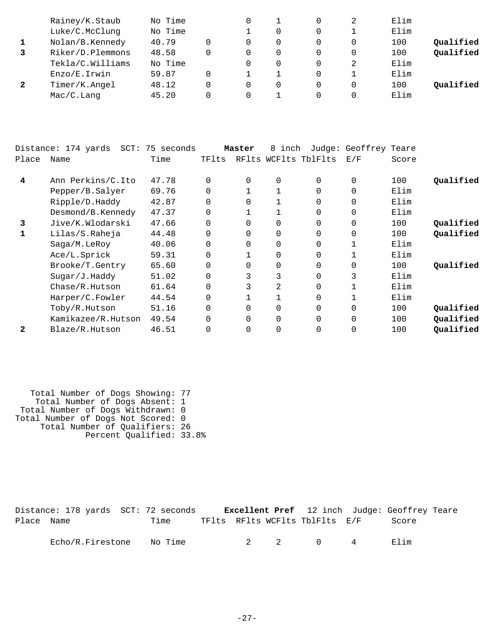| No Time<br>Elim<br>Rainey/K.Staub<br>2                 |           |
|--------------------------------------------------------|-----------|
| No Time<br>Luke/C.McClunq<br>Elim                      |           |
| 40.79<br>Nolan/B.Kennedy<br>100<br>$\Omega$            | Qualified |
| Riker/D.Plemmons<br>48.58<br>100<br>$\Omega$<br>0<br>0 | Qualified |
| Tekla/C.Williams<br>No Time<br>Elim<br>2               |           |
| 59.87<br>Elim<br>Enzo/E.Irwin                          |           |
| Timer/K.Angel<br>48.12<br>100<br>$\Omega$<br>0<br>0    | Qualified |
| Elim<br>45.20<br>Mac/C.Lanq<br>$\Omega$                |           |

|       | Distance: 174 yards<br>SCT: | 75 seconds |          | Master   | 8<br>inch      |                      | Judge: Geoffrey Teare |       |           |
|-------|-----------------------------|------------|----------|----------|----------------|----------------------|-----------------------|-------|-----------|
| Place | Name                        | Time       | TFlts    |          |                | RFlts WCFlts TblFlts | E/F                   | Score |           |
| 4     | Ann Perkins/C.Ito           | 47.78      | 0        | 0        | 0              | 0                    | $\mathbf 0$           | 100   | Qualified |
|       | Pepper/B.Salyer             | 69.76      | $\Omega$ |          |                | 0                    | $\mathbf 0$           | Elim  |           |
|       | Ripple/D.Haddy              | 42.87      |          | $\Omega$ |                | 0                    | $\mathbf 0$           | Elim  |           |
|       | Desmond/B.Kennedy           | 47.37      |          |          |                | 0                    | 0                     | Elim  |           |
| 3     | Jive/K.Wlodarski            | 47.66      |          | $\Omega$ | 0              | 0                    | $\mathbf 0$           | 100   | Qualified |
|       | Lilas/S.Raheja              | 44.48      | 0        | $\Omega$ | 0              | 0                    | $\mathbf 0$           | 100   | Qualified |
|       | Saga/M.LeRoy                | 40.06      |          | $\Omega$ | 0              | 0                    |                       | Elim  |           |
|       | Ace/L.Sprick                | 59.31      | 0        |          | 0              | 0                    |                       | Elim  |           |
|       | Brooke/T.Gentry             | 65.60      | $\Omega$ | $\Omega$ | 0              | 0                    | $\mathbf 0$           | 100   | Qualified |
|       | Sugar/J.Haddy               | 51.02      | $\Omega$ |          | 3              | 0                    | 3                     | Elim  |           |
|       | Chase/R.Hutson              | 61.64      |          |          | $\overline{2}$ | 0                    |                       | Elim  |           |
|       | Harper/C.Fowler             | 44.54      | 0        |          |                | 0                    |                       | Elim  |           |
|       | Toby/R.Hutson               | 51.16      |          | $\Omega$ | 0              | 0                    | $\Omega$              | 100   | Oualified |
|       | Kamikazee/R.Hutson          | 49.54      | $\Omega$ | $\Omega$ | 0              | 0                    | $\Omega$              | 100   | Qualified |
| 2     | Blaze/R.Hutson              | 46.51      |          | 0        | 0              |                      | 0                     | 100   | Qualified |

| Total Number of Dogs Showing: 77   |  |
|------------------------------------|--|
| Total Number of Dogs Absent: 1     |  |
| Total Number of Dogs Withdrawn: 0  |  |
| Total Number of Dogs Not Scored: 0 |  |
| Total Number of Qualifiers: 26     |  |
| Percent Qualified: 33.8%           |  |

Distance: 178 yards SCT: 72 seconds **Excellent Pref** 12 inch Judge: Geoffrey Teare Place Name Time TFlts RFlts WCFlts TblFlts E/F Score Echo/R.Firestone No Time 2 2 0 4 Elim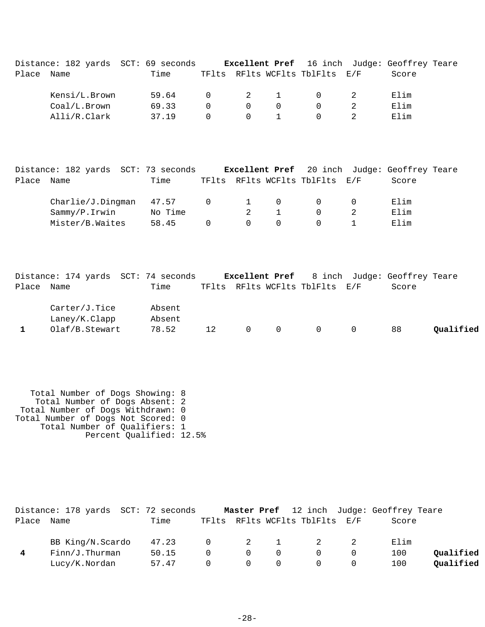|            | Distance: 182 yards SCT: 69 seconds |       |          |          |                                     |                                                    | <b>Excellent Pref</b> 16 inch Judge: Geoffrey Teare |  |
|------------|-------------------------------------|-------|----------|----------|-------------------------------------|----------------------------------------------------|-----------------------------------------------------|--|
| Place Name |                                     | Time  |          |          |                                     | TFlts RFlts WCFlts TblFlts E/F                     | Score                                               |  |
|            | Kensi/L.Brown                       | 59.64 |          |          | $0 \qquad \qquad 2 \qquad \qquad 1$ | $\begin{array}{ccc} & & 0 & \quad & 2 \end{array}$ | Elim                                                |  |
|            | Coal/L.Brown                        | 69.33 | $\Omega$ | $\Omega$ | - 0                                 | $\Omega$                                           | Elim                                                |  |
|            | Alli/R.Clark                        | 37 19 | $\Omega$ |          | $0 \qquad 1$                        | $\cap$                                             | Elim                                                |  |

|            | Distance: 182 yards SCT: 73 seconds |         |          |                       |          |                                | <b>Excellent Pref</b> 20 inch Judge: Geoffrey Teare |  |
|------------|-------------------------------------|---------|----------|-----------------------|----------|--------------------------------|-----------------------------------------------------|--|
| Place Name |                                     | Time    |          |                       |          | TFlts RFlts WCFlts TblFlts E/F | Score                                               |  |
|            | Charlie/J.Dingman                   | 47.57   |          | $0 \qquad 1 \qquad 0$ |          | $\Omega$                       | Elim                                                |  |
|            | Sammy/P.Irwin                       | No Time |          |                       |          | $\cap$                         | Elim                                                |  |
|            | Mister/B.Waites                     | 58.45   | $\Omega$ | $\Omega$              | $\Omega$ | $\cap$                         | Elim                                                |  |

|            | Distance: 174 yards SCT: 74 seconds |        |    |   |              |                                | <b>Excellent Pref</b> 8 inch Judge: Geoffrey Teare |           |
|------------|-------------------------------------|--------|----|---|--------------|--------------------------------|----------------------------------------------------|-----------|
| Place Name |                                     | Time   |    |   |              | TFlts RFlts WCFlts TblFlts E/F | Score                                              |           |
|            | Carter/J.Tice                       | Absent |    |   |              |                                |                                                    |           |
|            | Laney/K.Clapp                       | Absent |    |   |              |                                |                                                    |           |
|            | Olaf/B.Stewart                      | 78.52  | 12 | 0 | <sup>O</sup> |                                | 88                                                 | Qualified |

 Total Number of Dogs Showing: 8 Total Number of Dogs Absent: 2 Total Number of Dogs Withdrawn: 0 Total Number of Dogs Not Scored: 0 Total Number of Qualifiers: 1 Percent Qualified: 12.5%

|       | Distance: 178 yards SCT: 72 seconds |       |          |                |          |                                | <b>Master Pref</b> 12 inch Judge: Geoffrey Teare |           |
|-------|-------------------------------------|-------|----------|----------------|----------|--------------------------------|--------------------------------------------------|-----------|
| Place | Name                                | Time  |          |                |          | TFlts RFlts WCFlts TblFlts E/F | Score                                            |           |
|       | BB King/N.Scardo                    | 47.23 | $\Omega$ | $\overline{2}$ |          | $\overline{\phantom{a}}^2$     | Elim                                             |           |
|       | $Finn/J$ . Thurman                  | 50.15 | $\Omega$ | $\Omega$       | $\Omega$ | $\Omega$                       | 100                                              | Qualified |
|       | Lucy/K.Nordan                       | 57.47 | $\Omega$ | $\Omega$       | - 0      | $\Omega$                       | 100                                              | Oualified |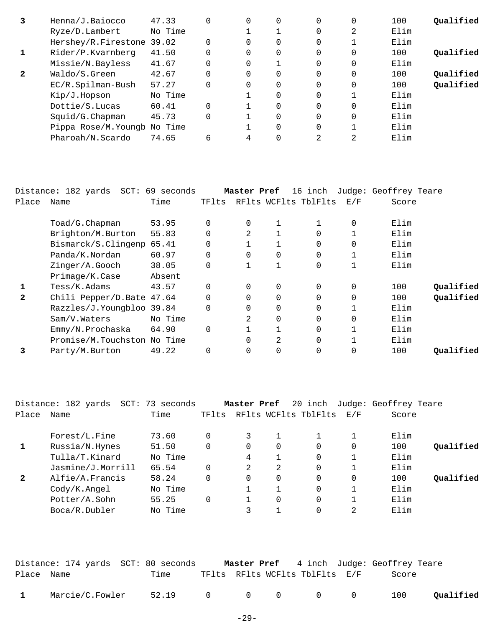| 3            | Henna/J.Baiocco              | 47.33   | 0        |          | 0 | 0        | 0        | 100  | Oualified |
|--------------|------------------------------|---------|----------|----------|---|----------|----------|------|-----------|
|              | Ryze/D.Lambert               | No Time |          |          |   | 0        | 2        | Elim |           |
|              | Hershey/R.Firestone 39.02    |         | $\Omega$ |          | 0 | $\Omega$ |          | Elim |           |
|              | Rider/P.Kvarnberg            | 41.50   | $\Omega$ | $\Omega$ | 0 | 0        | $\Omega$ | 100  | Oualified |
|              | Missie/N.Bayless             | 41.67   | $\Omega$ | $\Omega$ |   | 0        | 0        | Elim |           |
| $\mathbf{2}$ | Waldo/S.Green                | 42.67   | $\Omega$ | $\Omega$ | 0 | $\Omega$ | $\Omega$ | 100  | Qualified |
|              | EC/R.Spilman-Bush            | 57.27   | $\Omega$ | $\Omega$ | 0 | $\Omega$ | 0        | 100  | Qualified |
|              | Kip/J.Hopson                 | No Time |          |          | 0 | 0        |          | Elim |           |
|              | Dottie/S.Lucas               | 60.41   | $\Omega$ |          | 0 | $\Omega$ | 0        | Elim |           |
|              | Squid/G.Chapman              | 45.73   | $\Omega$ |          | 0 | 0        | $\Omega$ | Elim |           |
|              | Pippa Rose/M. Youngb No Time |         |          |          | 0 | 0        |          | Elim |           |
|              | Pharoah/N.Scardo             | 74.65   | 6        | 4        |   | 2        | 2        | Elim |           |

|              | Distance: 182 yards SCT: 69 seconds |         |       | Master Pref    |              | 16 inch              |          | Judge: Geoffrey Teare |           |
|--------------|-------------------------------------|---------|-------|----------------|--------------|----------------------|----------|-----------------------|-----------|
| Place        | Name                                | Time    | TFlts |                |              | RFlts WCFlts TblFlts | E/F      | Score                 |           |
|              | Toad/G.Chapman                      | 53.95   | 0     | 0              | 1            |                      | $\Omega$ | Elim                  |           |
|              | Brighton/M.Burton                   | 55.83   | 0     | $\mathfrak{D}$ |              |                      |          | Elim                  |           |
|              | Bismarck/S.Clingenp 65.41           |         | 0     |                |              |                      |          | Elim                  |           |
|              | Panda/K.Nordan                      | 60.97   | 0     | 0              | $\Omega$     | $\Omega$             |          | Elim                  |           |
|              | Zinger/A.Gooch                      | 38.05   | 0     |                | $\mathbf{1}$ | $\Omega$             |          | Elim                  |           |
|              | Primage/K.Case                      | Absent  |       |                |              |                      |          |                       |           |
|              | Tess/K.Adams                        | 43.57   | 0     | $\Omega$       | 0            | $\Omega$             | $\Omega$ | 100                   | Oualified |
| $\mathbf{2}$ | Chili Pepper/D.Bate 47.64           |         | 0     | $\Omega$       | $\Omega$     |                      |          | 100                   | Qualified |
|              | Razzles/J.Youngbloo 39.84           |         | 0     | 0              | $\Omega$     | $\Omega$             |          | Elim                  |           |
|              | Sam/V.Waters                        | No Time |       | 2              | $\Omega$     | 0                    | 0        | Elim                  |           |
|              | Emmy/N.Prochaska                    | 64.90   | 0     |                |              |                      |          | Elim                  |           |
|              | Promise/M.Touchston No Time         |         |       | 0              | 2            | $\Omega$             |          | Elim                  |           |
|              | Party/M.Burton                      | 49.22   | 0     | 0              | 0            |                      | 0        | 100                   | Qualified |
|              |                                     |         |       |                |              |                      |          |                       |           |

|       | Distance: 182 yards | SCT: 73 seconds |          | Master Pref |              | 20 inch              |          | Judge: Geoffrey Teare |           |
|-------|---------------------|-----------------|----------|-------------|--------------|----------------------|----------|-----------------------|-----------|
| Place | Name                | Time            | TFlts    |             |              | RFlts WCFlts TblFlts | E/F      | Score                 |           |
|       | Forest/L.Fine       | 73.60           | 0        | 3           |              |                      |          | Elim                  |           |
|       | Russia/N.Hynes      | 51.50           | $\Omega$ | 0           | $\Omega$     | $\Omega$             | $\Omega$ | 100                   | Oualified |
|       | Tulla/T.Kinard      | No Time         |          | 4           | 1            | $\Omega$             |          | Elim                  |           |
|       | Jasmine/J.Morrill   | 65.54           | $\Omega$ | 2           | 2            | $\Omega$             |          | Elim                  |           |
| 2     | Alfie/A.Francis     | 58.24           | $\Omega$ | $\Omega$    | $\Omega$     | $\Omega$             |          | 100                   | Oualified |
|       | Cody/K.Angel        | No Time         |          |             | $\mathbf{1}$ | $\Omega$             |          | Elim                  |           |
|       | Potter/A.Sohn       | 55.25           | $\Omega$ |             | $\Omega$     | $\Omega$             |          | Elim                  |           |
|       | Boca/R.Dubler       | No Time         |          | 3           |              | $\Omega$             | 2        | Elim                  |           |

|              | Distance: 174 yards  SCT: 80 seconds |                 |  |                                | <b>Master Pref</b> 4 inch Judge: Geoffrey Teare |           |
|--------------|--------------------------------------|-----------------|--|--------------------------------|-------------------------------------------------|-----------|
| Place Name   |                                      | Time            |  | TFlts RFlts WCFlts TblFlts E/F | Score                                           |           |
| $\mathbf{1}$ | Marcie/C.Fowler                      | 52.19 0 0 0 0 0 |  |                                | 100                                             | Qualified |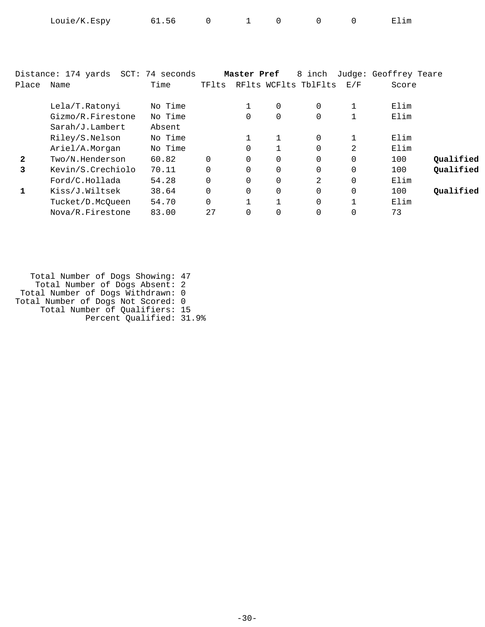| Louie/K.Espy | 61.56 |  |  |  |  |  | Elim |
|--------------|-------|--|--|--|--|--|------|
|--------------|-------|--|--|--|--|--|------|

|              | Distance: 174 yards | SCT: 74 seconds |          | Master Pref  |                | 8 inch               |          | Judge: Geoffrey Teare |           |
|--------------|---------------------|-----------------|----------|--------------|----------------|----------------------|----------|-----------------------|-----------|
| Place        | Name                | Time            | TFlts    |              |                | RFlts WCFlts TblFlts | E/F      | Score                 |           |
|              |                     |                 |          |              |                |                      |          |                       |           |
|              | Lela/T.Ratonyi      | No Time         |          |              | $\mathbf 0$    | $\Omega$             |          | Elim                  |           |
|              | Gizmo/R.Firestone   | No Time         |          | $\Omega$     | $\mathbf 0$    | $\Omega$             |          | Elim                  |           |
|              | Sarah/J.Lambert     | Absent          |          |              |                |                      |          |                       |           |
|              | Riley/S.Nelson      | No Time         |          |              |                | $\Omega$             | 1        | Elim                  |           |
|              | Ariel/A.Morgan      | No Time         |          | $\Omega$     |                | $\Omega$             | 2        | Elim                  |           |
| $\mathbf{2}$ | Two/N.Henderson     | 60.82           | $\Omega$ | $\Omega$     | $\Omega$       | $\Omega$             | $\Omega$ | 100                   | Qualified |
| 3            | Kevin/S.Crechiolo   | 70.11           | $\Omega$ | $\Omega$     | $\Omega$       | $\Omega$             | 0        | 100                   | Qualified |
|              | Ford/C.Hollada      | 54.28           | $\Omega$ | $\Omega$     | $\overline{0}$ | 2                    | 0        | Elim                  |           |
|              | Kiss/J.Wiltsek      | 38.64           | $\Omega$ | $\Omega$     | $\Omega$       | $\Omega$             | $\Omega$ | 100                   | Oualified |
|              | Tucket/D.McOueen    | 54.70           | $\Omega$ | $\mathbf{1}$ | 1              | $\Omega$             | n,       | Elim                  |           |
|              | Nova/R.Firestone    | 83.00           | 2.7      | $\Omega$     | $\Omega$       | $\Omega$             |          | 73                    |           |
|              |                     |                 |          |              |                |                      |          |                       |           |

 Total Number of Dogs Showing: 47 Total Number of Dogs Absent: 2 Total Number of Dogs Withdrawn: 0 Total Number of Dogs Not Scored: 0 Total Number of Qualifiers: 15 Percent Qualified: 31.9%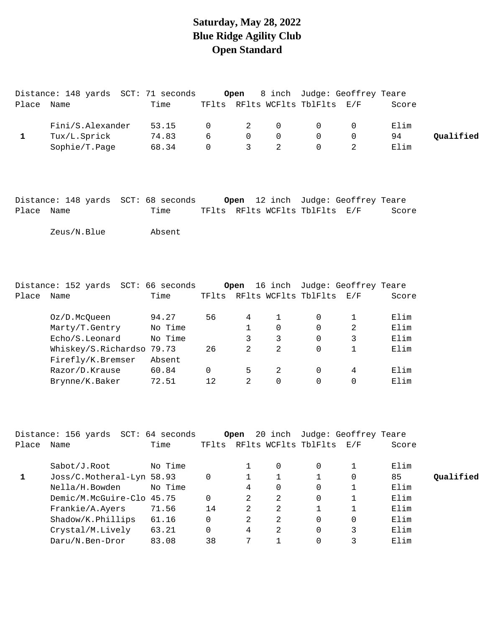# **Saturday, May 28, 2022 Blue Ridge Agility Club Open Standard**

|            | Distance: 148 yards SCT: 71 seconds                |                |             | Open           |                |                                | 8 inch Judge: Geoffrey Teare              |       |           |
|------------|----------------------------------------------------|----------------|-------------|----------------|----------------|--------------------------------|-------------------------------------------|-------|-----------|
| Place Name |                                                    | Time           |             |                |                | TFlts RFlts WCFlts TblFlts E/F |                                           | Score |           |
|            | Fini/S.Alexander                                   | 53.15          | 0           | 2              | $\mathbf 0$    | $\mathbf 0$                    | $\mathbf 0$                               | Elim  |           |
| 1          | Tux/L.Sprick                                       | 74.83          | 6           | $\overline{0}$ | $\mathsf{O}$   | 0                              | $\mathbf 0$                               | 94    | Qualified |
|            | Sophie/T.Page                                      | 68.34          | $\mathbf 0$ | $\overline{3}$ | $\overline{a}$ | $\mathsf{O}$                   | $\overline{a}$                            | Elim  |           |
| Place Name | Distance: 148 yards SCT: 68 seconds<br>Zeus/N.Blue | Time<br>Absent |             |                |                | TFlts RFlts WCFlts TblFlts E/F | <b>Open</b> 12 inch Judge: Geoffrey Teare | Score |           |

|       | Distance: 152 yards       | SCT: 66 seconds |          | Open          | 16 inch |                      | Judge: Geoffrey Teare |       |
|-------|---------------------------|-----------------|----------|---------------|---------|----------------------|-----------------------|-------|
| Place | Name                      | Time            | TFlts    |               |         | RFlts WCFlts TblFlts | E/F                   | Score |
|       |                           |                 |          |               |         |                      |                       |       |
|       | Oz/D.McOueen              | 94.27           | 56       | 4             |         | 0                    |                       | Elim  |
|       | Marty/T.Gentry            | No Time         |          |               | 0       | 0                    | 2                     | Elim  |
|       | Echo/S.Leonard            | No Time         |          | 3             | 3       | 0                    | 3                     | Elim  |
|       | Whiskey/S.Richardso 79.73 |                 | 26       | $\mathcal{L}$ | 2       | 0                    |                       | Elim  |
|       | Firefly/K.Bremser         | Absent          |          |               |         |                      |                       |       |
|       | Razor/D.Krause            | 60.84           | $\Omega$ | 5             | 2       | 0                    | 4                     | Elim  |
|       | Brynne/K.Baker            | 72.51           | 12       | $\mathcal{D}$ | 0       | 0                    | 0                     | Elim  |
|       |                           |                 |          |               |         |                      |                       |       |

|       | Distance: 156 yards SCT: 64 seconds |         |       | Open |          |                      | 20 inch Judge: Geoffrey Teare |       |           |
|-------|-------------------------------------|---------|-------|------|----------|----------------------|-------------------------------|-------|-----------|
| Place | Name                                | Time    | TFlts |      |          | RFlts WCFlts TblFlts | E / F                         | Score |           |
|       | Sabot/J.Root                        | No Time |       |      | $\Omega$ | 0                    |                               | Elim  |           |
|       | Joss/C.Motheral-Lyn 58.93           |         | 0     |      |          |                      | 0                             | 85    | Oualified |
|       | Nella/H.Bowden                      | No Time |       | 4    | 0        | 0                    |                               | Elim  |           |
|       | Demic/M.McGuire-Clo 45.75           |         | 0     | 2    | 2        | 0                    |                               | Elim  |           |
|       | Frankie/A.Ayers                     | 71.56   | 14    | 2    | 2        |                      |                               | Elim  |           |
|       | $shadow/K.$ Phillips                | 61.16   | 0     | 2    | 2        | 0                    | 0                             | Elim  |           |
|       | Crystal/M.Lively                    | 63.21   | 0     | 4    | 2        | $\Omega$             |                               | Elim  |           |
|       | Daru/N.Ben-Dror                     | 83.08   | 38    |      |          |                      |                               | Elim  |           |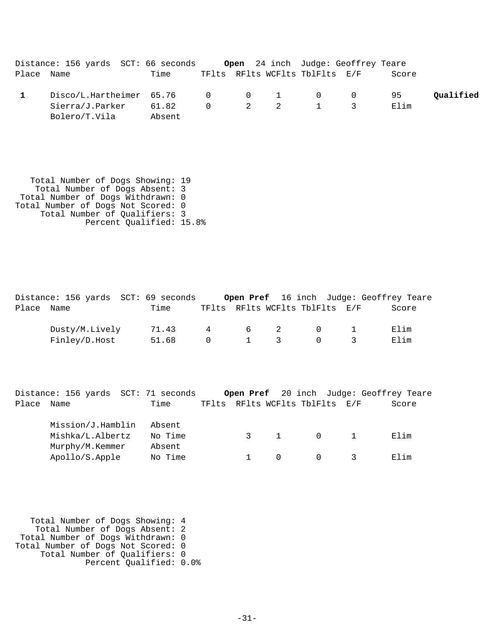|            | Distance: 156 yards SCT: 66 seconds  |        |  |                                         | <b>Open</b> 24 inch Judge: Geoffrey Teare |       |           |
|------------|--------------------------------------|--------|--|-----------------------------------------|-------------------------------------------|-------|-----------|
| Place Name |                                      | Time   |  | TFlts RFlts WCFlts TblFlts E/F          |                                           | Score |           |
|            | $Disco/L.Hartheimer$ 65.76 0 0 1 0 0 |        |  |                                         |                                           | 95    | Oualified |
|            | Sierra/J.Parker                      | 61.82  |  | $0 \qquad 2 \qquad 2 \qquad 1 \qquad 3$ |                                           | Elim  |           |
|            | Bolero/T.Vila                        | Absent |  |                                         |                                           |       |           |

 Total Number of Dogs Showing: 19 Total Number of Dogs Absent: 3 Total Number of Dogs Withdrawn: 0 Total Number of Dogs Not Scored: 0 Total Number of Qualifiers: 3 Percent Qualified: 15.8%

|            | Distance: 156 yards SCT: 69 seconds |       |          |             |                                |               | Open Pref 16 inch Judge: Geoffrey Teare |
|------------|-------------------------------------|-------|----------|-------------|--------------------------------|---------------|-----------------------------------------|
| Place Name |                                     | Time  |          |             | TFlts RFlts WCFlts TblFlts E/F |               | Score                                   |
|            | Dusty/M.Lively                      | 71.43 | 4        | 6 2         | $\overline{0}$                 |               | Elim                                    |
|            | Finley/D.Host                       | 51.68 | $\Omega$ | $1 \quad 3$ |                                | $\mathcal{R}$ | Elim                                    |

Distance: 156 yards SCT: 71 seconds **Open Pref** 20 inch Judge: Geoffrey Teare Place Name Time TFlts RFlts WCFlts TblFlts E/F Score

| Mission/J.Hamblin | Absent  |  |          |      |
|-------------------|---------|--|----------|------|
| Mishka/L.Albertz  | No Time |  | $\Omega$ | Elim |
| Murphy/M.Kemmer   | Absent  |  |          |      |
| Apollo/S.Apple    | No Time |  |          | Elim |

 Total Number of Dogs Showing: 4 Total Number of Dogs Absent: 2 Total Number of Dogs Withdrawn: 0 Total Number of Dogs Not Scored: 0 Total Number of Qualifiers: 0 Percent Qualified: 0.0%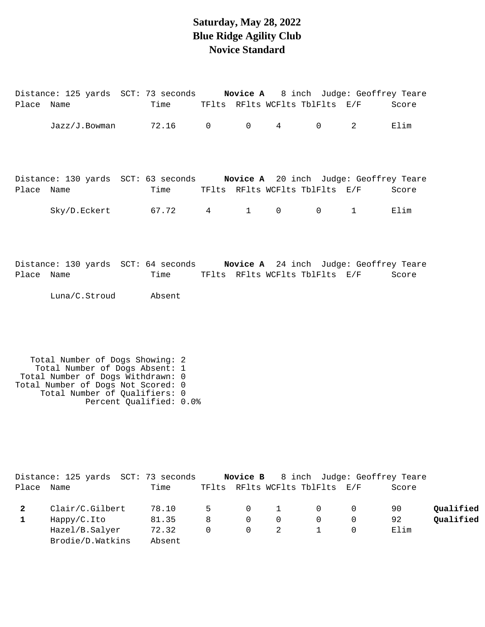## **Saturday, May 28, 2022 Blue Ridge Agility Club Novice Standard**

|            |                                                                                                                                                                               | Distance: 125 yards SCT: 73 seconds Novice A 8 inch Judge: Geoffrey Teare                                         |  |  |                        |       |
|------------|-------------------------------------------------------------------------------------------------------------------------------------------------------------------------------|-------------------------------------------------------------------------------------------------------------------|--|--|------------------------|-------|
| Place Name |                                                                                                                                                                               | Time TFlts RFlts WCFlts TblFlts E/F                                                                               |  |  |                        | Score |
|            |                                                                                                                                                                               | $Jazz/J.Bowman$ 72.16 0 0 4 0 2                                                                                   |  |  |                        | Elim  |
| Place Name |                                                                                                                                                                               | Distance: 130 yards SCT: 63 seconds Novice A 20 inch Judge: Geoffrey Teare<br>Time TFlts RFlts WCFlts TblFlts E/F |  |  |                        | Score |
|            |                                                                                                                                                                               | Sky/D.Eckert 67.72 4 1 0 0                                                                                        |  |  | $\sim$ 1 $\sim$ $\sim$ | Elim  |
| Place Name |                                                                                                                                                                               | Distance: 130 yards SCT: 64 seconds Novice A 24 inch Judge: Geoffrey Teare<br>Time TFIts RFIts WCFIts TblFlts E/F |  |  |                        | Score |
|            | Luna/C.Stroud Absent                                                                                                                                                          |                                                                                                                   |  |  |                        |       |
|            | Total Number of Dogs Showing: 2<br>Total Number of Dogs Absent: 1<br>Total Number of Dogs Withdrawn: 0<br>Total Number of Dogs Not Scored: 0<br>Total Number of Qualifiers: 0 | Percent Qualified: 0.0%                                                                                           |  |  |                        |       |

|       | Distance: 125 yards SCT: 73 seconds |        |             |                |   |                                | <b>Novice B</b> 8 inch Judge: Geoffrey Teare |       |           |
|-------|-------------------------------------|--------|-------------|----------------|---|--------------------------------|----------------------------------------------|-------|-----------|
| Place | Name                                | Time   |             |                |   | TFlts RFlts WCFlts TblFlts E/F |                                              | Score |           |
|       | Clair/C.Gilbert                     | 78.10  | $5^{\circ}$ | $\Omega$       | 1 | $\overline{0}$                 |                                              | 90    | Qualified |
|       | Happy/C.Ito                         | 81.35  | 8           | $\Omega$       | 0 | $\Omega$                       |                                              | 92    | Qualified |
|       | Hazel/B.Salyer                      | 72.32  | $\Omega$    | $\overline{0}$ |   |                                |                                              | Elim  |           |
|       | Brodie/D. Watkins                   | Absent |             |                |   |                                |                                              |       |           |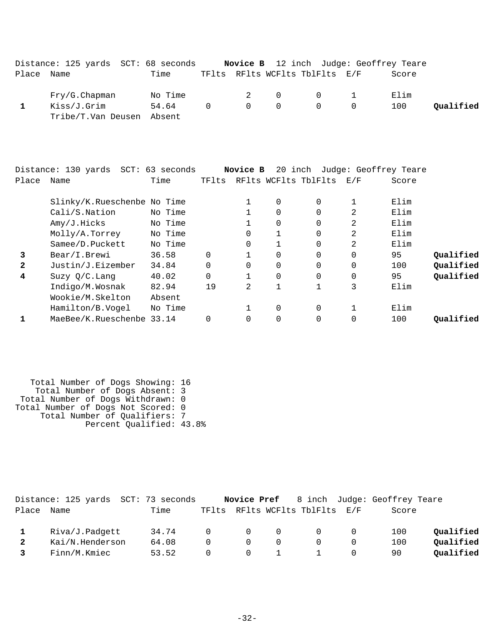|              | Distance: 125 yards SCT: 68 seconds |         |          | Novice B       |             |                      | 12 inch Judge: Geoffrey Teare |       |           |
|--------------|-------------------------------------|---------|----------|----------------|-------------|----------------------|-------------------------------|-------|-----------|
| Place        | Name                                | Time    | TFlts    |                |             | RFlts WCFlts TblFlts | E/F                           | Score |           |
|              | Fry/G.Chapman                       | No Time |          | 2              | 0           | 0                    | 1                             | Elim  |           |
| 1            | Kiss/J.Grim                         | 54.64   | $\Omega$ | $\Omega$       | $\mathbf 0$ | 0                    | $\Omega$                      | 100   | Qualified |
|              | Tribe/T.Van Deusen                  | Absent  |          |                |             |                      |                               |       |           |
|              |                                     |         |          |                |             |                      |                               |       |           |
|              | Distance: 130 yards SCT: 63 seconds |         |          | Novice B       |             |                      | 20 inch Judge: Geoffrey Teare |       |           |
| Place        | Name                                | Time    | TFlts    |                |             | RFlts WCFlts TblFlts | E/F                           | Score |           |
|              | Slinky/K.Rueschenbe No Time         |         |          | 1              | 0           | 0                    | 1                             | Elim  |           |
|              | Cali/S.Nation                       | No Time |          | 1              | $\Omega$    | 0                    | 2                             | Elim  |           |
|              | Amy/J.Hicks                         | No Time |          | 1              | $\Omega$    | $\Omega$             | 2                             | Elim  |           |
|              | Molly/A.Torrey                      | No Time |          | 0              | 1           | 0                    | 2                             | Elim  |           |
|              | Samee/D.Puckett                     | No Time |          | 0              | 1           | $\Omega$             | 2                             | Elim  |           |
| 3            | Bear/I.Brewi                        | 36.58   | $\Omega$ | 1              | $\Omega$    | $\Omega$             | $\Omega$                      | 95    | Qualified |
| $\mathbf{2}$ | Justin/J.Eizember                   | 34.84   | $\Omega$ | 0              | 0           | $\Omega$             | 0                             | 100   | Qualified |
| 4            | Suzy Q/C. Lang                      | 40.02   | $\Omega$ | 1              | 0           | 0                    | 0                             | 95    | Qualified |
|              | Indigo/M.Wosnak                     | 82.94   | 19       | $\overline{2}$ | 1           | 1                    | 3                             | Elim  |           |
|              | Wookie/M.Skelton                    | Absent  |          |                |             |                      |                               |       |           |
|              | Hamilton/B.Vogel                    | No Time |          | 1              | 0           | 0                    | $\mathbf{1}$                  | Elim  |           |
| 1            | MaeBee/K.Rueschenbe 33.14           |         | 0        | $\Omega$       | $\mathbf 0$ | $\Omega$             | $\mathbf 0$                   | 100   | Qualified |

 Total Number of Dogs Showing: 16 Total Number of Dogs Absent: 3 Total Number of Dogs Withdrawn: 0 Total Number of Dogs Not Scored: 0 Total Number of Qualifiers: 7 Percent Qualified: 43.8%

|       | Distance: 125 yards SCT: 73 seconds |       |            |          |          |                                |          | <b>Novice Pref</b> 8 inch Judge: Geoffrey Teare |           |
|-------|-------------------------------------|-------|------------|----------|----------|--------------------------------|----------|-------------------------------------------------|-----------|
| Place | Name                                | Time  |            |          |          | TFlts RFlts WCFlts TblFlts E/F |          | Score                                           |           |
|       |                                     |       |            |          |          |                                |          |                                                 |           |
|       | Riva/J.Padgett                      | 34.74 | $\cap$     | $\Omega$ | $\Omega$ | - 0                            | 0        | 100                                             | Oualified |
|       | Kai/N.Henderson                     | 64.08 | $\cap$     | $\Omega$ |          |                                | $\Omega$ | 100                                             | Oualified |
|       | Finn/M.Kmiec                        | 53.52 | $^{\circ}$ | $\Omega$ |          |                                | 0        | 90                                              | Oualified |